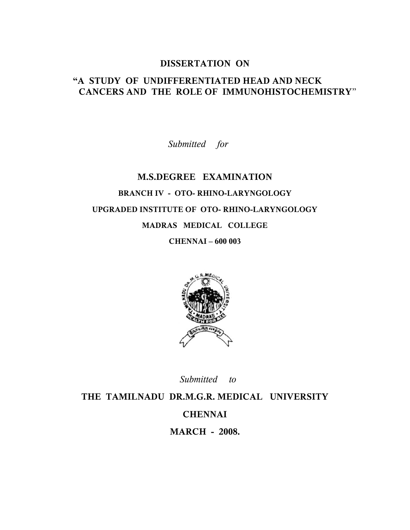#### **DISSERTATION ON**

## **"A STUDY OF UNDIFFERENTIATED HEAD AND NECK CANCERS AND THE ROLE OF IMMUNOHISTOCHEMISTRY**"

*Submitted for*

## **M.S.DEGREE EXAMINATION BRANCH IV - OTO- RHINO-LARYNGOLOGY UPGRADED INSTITUTE OF OTO- RHINO-LARYNGOLOGY MADRAS MEDICAL COLLEGE**

**CHENNAI – 600 003**



 *Submitted to*

**THE TAMILNADU DR.M.G.R. MEDICAL UNIVERSITY CHENNAI MARCH - 2008.**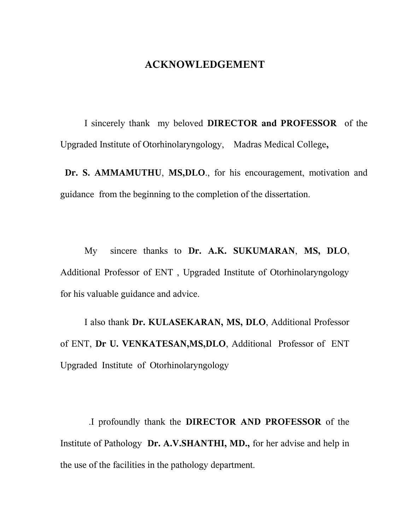## **ACKNOWLEDGEMENT**

I sincerely thank my beloved **DIRECTOR and PROFESSOR** of the Upgraded Institute of Otorhinolaryngology, Madras Medical College**,**

**Dr. S. AMMAMUTHU**, **MS,DLO**., for his encouragement, motivation and guidance from the beginning to the completion of the dissertation.

My sincere thanks to **Dr. A.K. SUKUMARAN**, **MS, DLO**, Additional Professor of ENT , Upgraded Institute of Otorhinolaryngology for his valuable guidance and advice.

I also thank **Dr. KULASEKARAN, MS, DLO**, Additional Professor of ENT, **Dr U. VENKATESAN,MS,DLO**, Additional Professor of ENT Upgraded Institute of Otorhinolaryngology

 .I profoundly thank the **DIRECTOR AND PROFESSOR** of the Institute of Pathology **Dr. A.V.SHANTHI, MD.,** for her advise and help in the use of the facilities in the pathology department.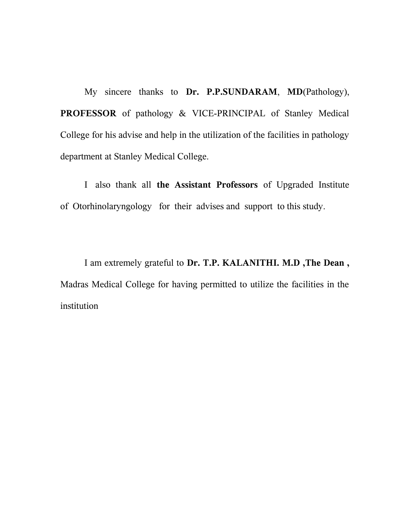My sincere thanks to **Dr. P.P.SUNDARAM**, **MD**(Pathology), **PROFESSOR** of pathology & VICE-PRINCIPAL of Stanley Medical College for his advise and help in the utilization of the facilities in pathology department at Stanley Medical College.

I also thank all **the Assistant Professors** of Upgraded Institute of Otorhinolaryngology for their advises and support to this study.

I am extremely grateful to **Dr. T.P. KALANITHI. M.D ,The Dean ,** Madras Medical College for having permitted to utilize the facilities in the institution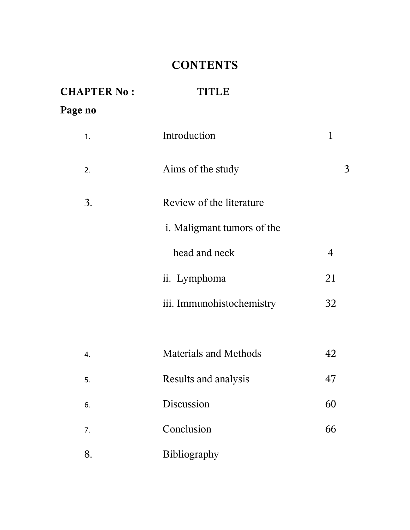## **CONTENTS**

| <b>CHAPTER No:</b> | TITIAE                       |             |
|--------------------|------------------------------|-------------|
| Page no            |                              |             |
| 1.                 | Introduction                 | $\mathbf 1$ |
| 2.                 | Aims of the study            | 3           |
| 3.                 | Review of the literature     |             |
|                    | i. Maligmant tumors of the   |             |
|                    | head and neck                | 4           |
|                    | ii. Lymphoma                 | 21          |
|                    | iii. Immunohistochemistry    | 32          |
|                    |                              |             |
| 4.                 | <b>Materials and Methods</b> | 42          |
| 5.                 | Results and analysis         | 47          |
| 6.                 | Discussion                   | 60          |
| 7.                 | Conclusion                   | 66          |
| 8.                 | Bibliography                 |             |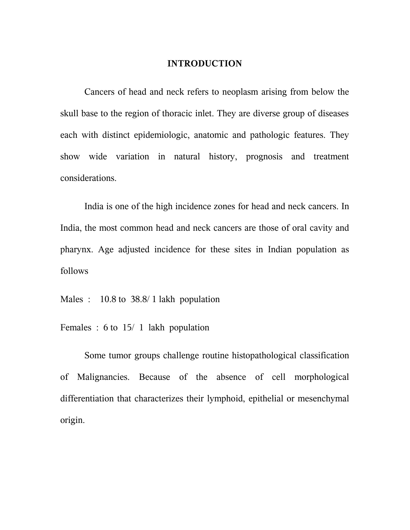#### **INTRODUCTION**

Cancers of head and neck refers to neoplasm arising from below the skull base to the region of thoracic inlet. They are diverse group of diseases each with distinct epidemiologic, anatomic and pathologic features. They show wide variation in natural history, prognosis and treatment considerations.

India is one of the high incidence zones for head and neck cancers. In India, the most common head and neck cancers are those of oral cavity and pharynx. Age adjusted incidence for these sites in Indian population as follows

Males : 10.8 to 38.8/1 lakh population

Females : 6 to 15/ 1 lakh population

Some tumor groups challenge routine histopathological classification of Malignancies. Because of the absence of cell morphological differentiation that characterizes their lymphoid, epithelial or mesenchymal origin.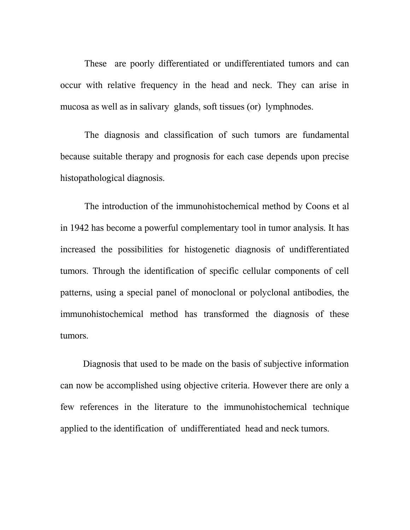These are poorly differentiated or undifferentiated tumors and can occur with relative frequency in the head and neck. They can arise in mucosa as well as in salivary glands, soft tissues (or) lymphnodes.

The diagnosis and classification of such tumors are fundamental because suitable therapy and prognosis for each case depends upon precise histopathological diagnosis.

The introduction of the immunohistochemical method by Coons et al in 1942 has become a powerful complementary tool in tumor analysis. It has increased the possibilities for histogenetic diagnosis of undifferentiated tumors. Through the identification of specific cellular components of cell patterns, using a special panel of monoclonal or polyclonal antibodies, the immunohistochemical method has transformed the diagnosis of these tumors.

 Diagnosis that used to be made on the basis of subjective information can now be accomplished using objective criteria. However there are only a few references in the literature to the immunohistochemical technique applied to the identification of undifferentiated head and neck tumors.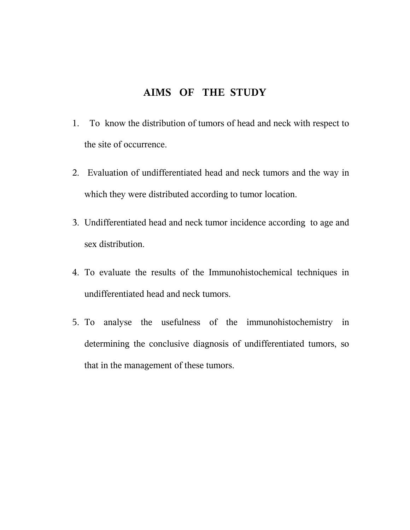## **AIMS OF THE STUDY**

- 1. To know the distribution of tumors of head and neck with respect to the site of occurrence.
- 2. Evaluation of undifferentiated head and neck tumors and the way in which they were distributed according to tumor location.
- 3. Undifferentiated head and neck tumor incidence according to age and sex distribution.
- 4. To evaluate the results of the Immunohistochemical techniques in undifferentiated head and neck tumors.
- 5. To analyse the usefulness of the immunohistochemistry in determining the conclusive diagnosis of undifferentiated tumors, so that in the management of these tumors.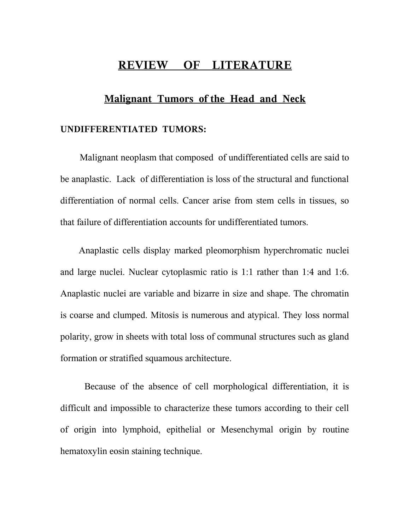## **REVIEW OF LITERATURE**

#### **Malignant Tumors of the Head and Neck**

#### **UNDIFFERENTIATED TUMORS:**

 Malignant neoplasm that composed of undifferentiated cells are said to be anaplastic. Lack of differentiation is loss of the structural and functional differentiation of normal cells. Cancer arise from stem cells in tissues, so that failure of differentiation accounts for undifferentiated tumors.

 Anaplastic cells display marked pleomorphism hyperchromatic nuclei and large nuclei. Nuclear cytoplasmic ratio is 1:1 rather than 1:4 and 1:6. Anaplastic nuclei are variable and bizarre in size and shape. The chromatin is coarse and clumped. Mitosis is numerous and atypical. They loss normal polarity, grow in sheets with total loss of communal structures such as gland formation or stratified squamous architecture.

Because of the absence of cell morphological differentiation, it is difficult and impossible to characterize these tumors according to their cell of origin into lymphoid, epithelial or Mesenchymal origin by routine hematoxylin eosin staining technique.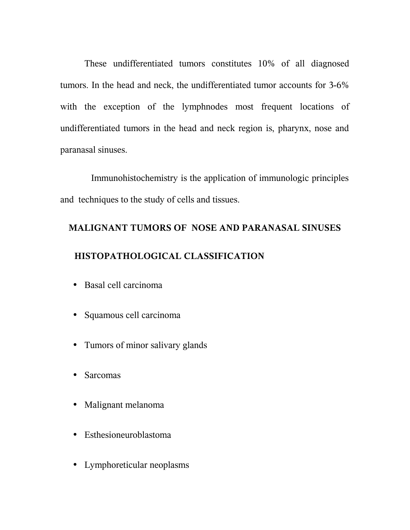These undifferentiated tumors constitutes 10% of all diagnosed tumors. In the head and neck, the undifferentiated tumor accounts for 3-6% with the exception of the lymphnodes most frequent locations of undifferentiated tumors in the head and neck region is, pharynx, nose and paranasal sinuses.

 Immunohistochemistry is the application of immunologic principles and techniques to the study of cells and tissues.

# **MALIGNANT TUMORS OF NOSE AND PARANASAL SINUSES HISTOPATHOLOGICAL CLASSIFICATION**

- Basal cell carcinoma
- Squamous cell carcinoma
- Tumors of minor salivary glands
- Sarcomas
- Malignant melanoma
- Esthesioneuroblastoma
- Lymphoreticular neoplasms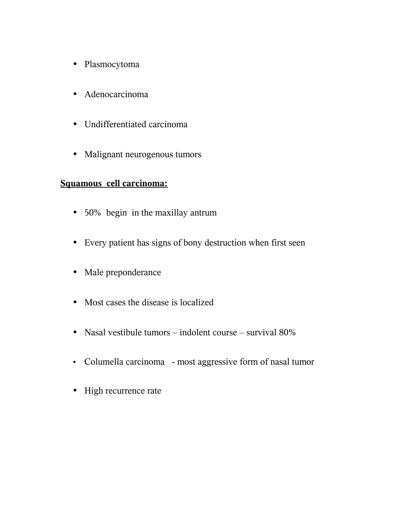- Plasmocytoma
- Adenocarcinoma
- Undifferentiated carcinoma
- Malignant neurogenous tumors

## **Squamous cell carcinoma:**

- 50% begin in the maxillay antrum
- Every patient has signs of bony destruction when first seen
- Male preponderance
- Most cases the disease is localized
- Nasal vestibule tumors indolent course survival 80%
- Columella carcinoma most aggressive form of nasal tumor
- High recurrence rate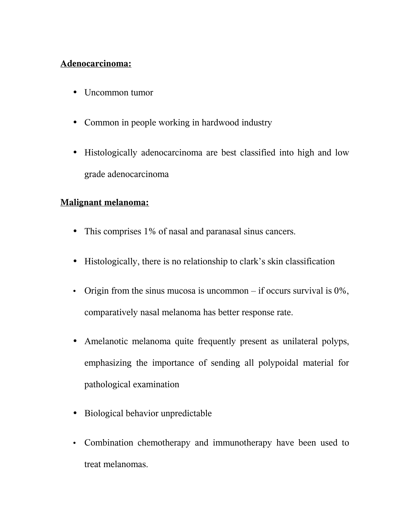## **Adenocarcinoma:**

- Uncommon tumor
- Common in people working in hardwood industry
- Histologically adenocarcinoma are best classified into high and low grade adenocarcinoma

## **Malignant melanoma:**

- This comprises 1% of nasal and paranasal sinus cancers.
- Histologically, there is no relationship to clark's skin classification
- Origin from the sinus mucosa is uncommon if occurs survival is  $0\%$ , comparatively nasal melanoma has better response rate.
- Amelanotic melanoma quite frequently present as unilateral polyps, emphasizing the importance of sending all polypoidal material for pathological examination
- Biological behavior unpredictable
- Combination chemotherapy and immunotherapy have been used to treat melanomas.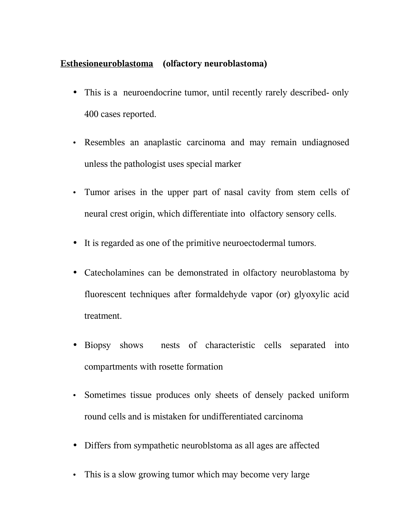## **Esthesioneuroblastoma (olfactory neuroblastoma)**

- This is a neuroendocrine tumor, until recently rarely described- only 400 cases reported.
- Resembles an anaplastic carcinoma and may remain undiagnosed unless the pathologist uses special marker
- Tumor arises in the upper part of nasal cavity from stem cells of neural crest origin, which differentiate into olfactory sensory cells.
- It is regarded as one of the primitive neuroectodermal tumors.
- Catecholamines can be demonstrated in olfactory neuroblastoma by fluorescent techniques after formaldehyde vapor (or) glyoxylic acid treatment.
- Biopsy shows nests of characteristic cells separated into compartments with rosette formation
- Sometimes tissue produces only sheets of densely packed uniform round cells and is mistaken for undifferentiated carcinoma
- Differs from sympathetic neuroblstoma as all ages are affected
- This is a slow growing tumor which may become very large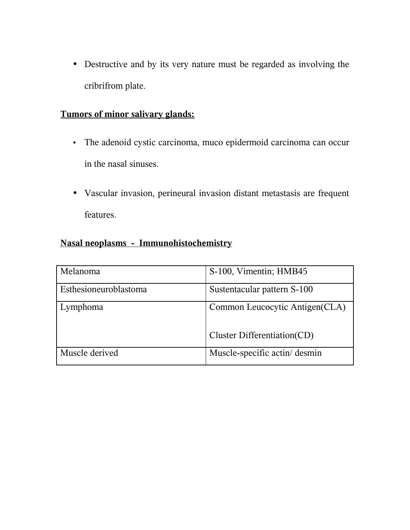• Destructive and by its very nature must be regarded as involving the cribrifrom plate.

## **Tumors of minor salivary glands:**

- The adenoid cystic carcinoma, muco epidermoid carcinoma can occur in the nasal sinuses.
- Vascular invasion, perineural invasion distant metastasis are frequent features.

## **Nasal neoplasms - Immunohistochemistry**

| Melanoma              | S-100, Vimentin; HMB45          |
|-----------------------|---------------------------------|
| Esthesioneuroblastoma | Sustentacular pattern S-100     |
| Lymphoma              | Common Leucocytic Antigen (CLA) |
|                       | Cluster Differentiation(CD)     |
| Muscle derived        | Muscle-specific actin/desmin    |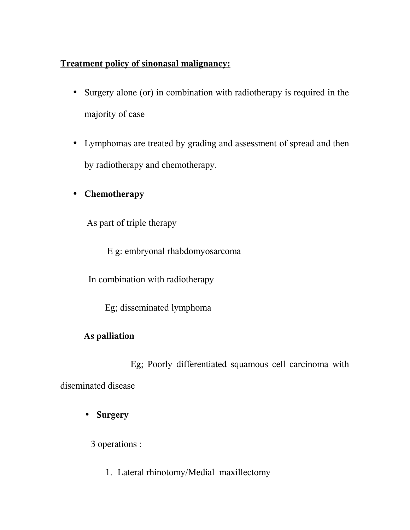## **Treatment policy of sinonasal malignancy:**

- Surgery alone (or) in combination with radiotherapy is required in the majority of case
- Lymphomas are treated by grading and assessment of spread and then by radiotherapy and chemotherapy.

## • **Chemotherapy**

As part of triple therapy

E g: embryonal rhabdomyosarcoma

In combination with radiotherapy

Eg; disseminated lymphoma

## **As palliation**

 Eg; Poorly differentiated squamous cell carcinoma with diseminated disease

• **Surgery**

3 operations :

1. Lateral rhinotomy/Medial maxillectomy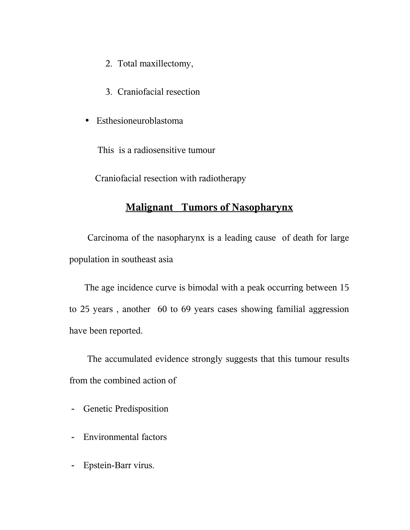- 2. Total maxillectomy,
- 3. Craniofacial resection
- Esthesioneuroblastoma

This is a radiosensitive tumour

Craniofacial resection with radiotherapy

## **Malignant Tumors of Nasopharynx**

 Carcinoma of the nasopharynx is a leading cause of death for large population in southeast asia

The age incidence curve is bimodal with a peak occurring between 15 to 25 years , another 60 to 69 years cases showing familial aggression have been reported.

 The accumulated evidence strongly suggests that this tumour results from the combined action of

- Genetic Predisposition
- Environmental factors
- Epstein-Barr virus.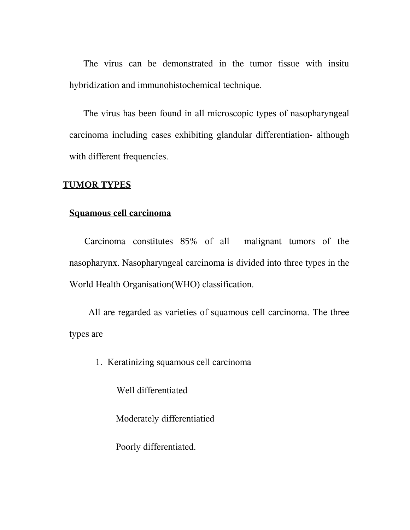The virus can be demonstrated in the tumor tissue with insitu hybridization and immunohistochemical technique.

The virus has been found in all microscopic types of nasopharyngeal carcinoma including cases exhibiting glandular differentiation- although with different frequencies.

#### **TUMOR TYPES**

#### **Squamous cell carcinoma**

Carcinoma constitutes 85% of all malignant tumors of the nasopharynx. Nasopharyngeal carcinoma is divided into three types in the World Health Organisation(WHO) classification.

 All are regarded as varieties of squamous cell carcinoma. The three types are

1. Keratinizing squamous cell carcinoma

Well differentiated

Moderately differentiatied

Poorly differentiated.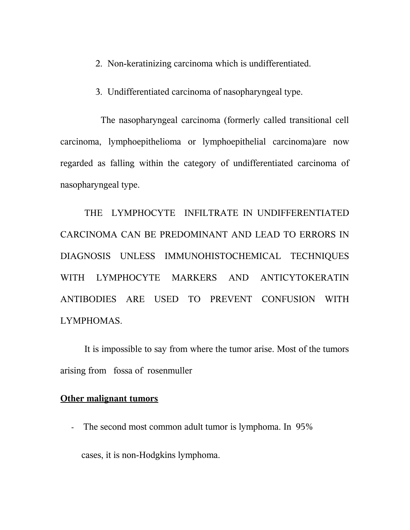- 2. Non-keratinizing carcinoma which is undifferentiated.
- 3. Undifferentiated carcinoma of nasopharyngeal type.

 The nasopharyngeal carcinoma (formerly called transitional cell carcinoma, lymphoepithelioma or lymphoepithelial carcinoma)are now regarded as falling within the category of undifferentiated carcinoma of nasopharyngeal type.

THE LYMPHOCYTE INFILTRATE IN UNDIFFERENTIATED CARCINOMA CAN BE PREDOMINANT AND LEAD TO ERRORS IN DIAGNOSIS UNLESS IMMUNOHISTOCHEMICAL TECHNIQUES WITH LYMPHOCYTE MARKERS AND ANTICYTOKERATIN ANTIBODIES ARE USED TO PREVENT CONFUSION WITH LYMPHOMAS.

It is impossible to say from where the tumor arise. Most of the tumors arising from fossa of rosenmuller

#### **Other malignant tumors**

- The second most common adult tumor is lymphoma. In 95%

cases, it is non-Hodgkins lymphoma.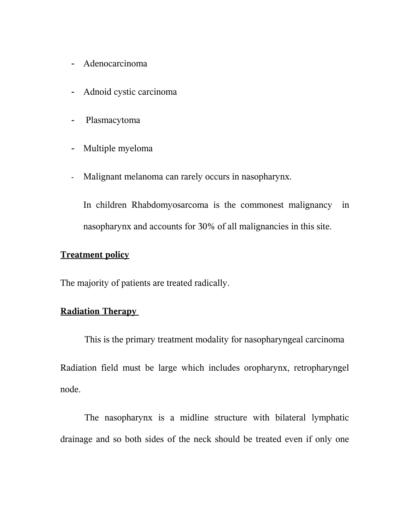- Adenocarcinoma
- Adnoid cystic carcinoma
- Plasmacytoma
- Multiple myeloma
- Malignant melanoma can rarely occurs in nasopharynx.

In children Rhabdomyosarcoma is the commonest malignancy in nasopharynx and accounts for 30% of all malignancies in this site.

## **Treatment policy**

The majority of patients are treated radically.

## **Radiation Therapy**

This is the primary treatment modality for nasopharyngeal carcinoma Radiation field must be large which includes oropharynx, retropharyngel node.

The nasopharynx is a midline structure with bilateral lymphatic drainage and so both sides of the neck should be treated even if only one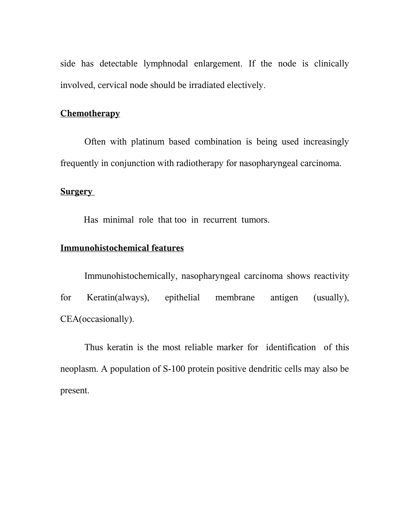side has detectable lymphnodal enlargement. If the node is clinically involved, cervical node should be irradiated electively.

## **Chemotherapy**

Often with platinum based combination is being used increasingly frequently in conjunction with radiotherapy for nasopharyngeal carcinoma.

## **Surgery**

Has minimal role that too in recurrent tumors.

## **Immunohistochemical features**

Immunohistochemically, nasopharyngeal carcinoma shows reactivity for Keratin(always), epithelial membrane antigen (usually), CEA(occasionally).

Thus keratin is the most reliable marker for identification of this neoplasm. A population of S-100 protein positive dendritic cells may also be present.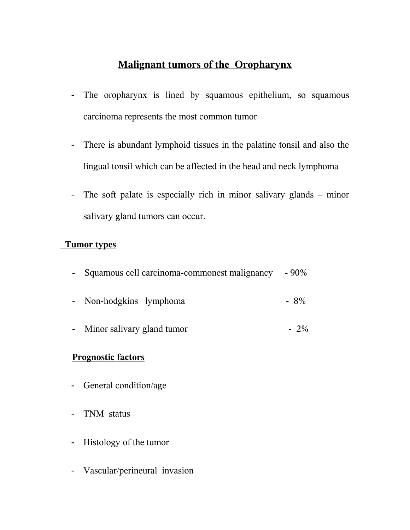## **Malignant tumors of the Oropharynx**

- The oropharynx is lined by squamous epithelium, so squamous carcinoma represents the most common tumor
- There is abundant lymphoid tissues in the palatine tonsil and also the lingual tonsil which can be affected in the head and neck lymphoma
- The soft palate is especially rich in minor salivary glands minor salivary gland tumors can occur.

## **Tumor types**

| Squamous cell carcinoma-commonest malignancy | $-90\%$ |
|----------------------------------------------|---------|
| Non-hodgkins lymphoma<br>$\sim 100$          | $-8\%$  |
| Minor salivary gland tumor<br>$\blacksquare$ |         |
| <b>Prognostic factors</b>                    |         |

- General condition/age
- TNM status
- Histology of the tumor
- Vascular/perineural invasion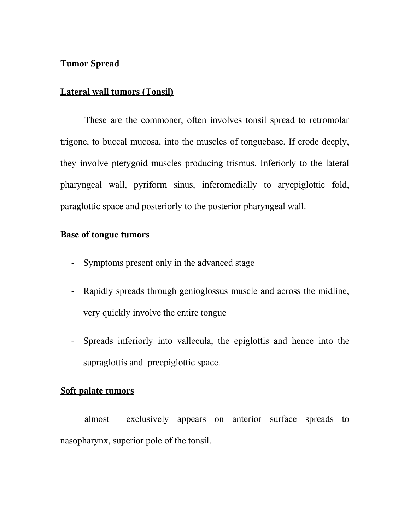## **Tumor Spread**

#### **Lateral wall tumors (Tonsil)**

These are the commoner, often involves tonsil spread to retromolar trigone, to buccal mucosa, into the muscles of tonguebase. If erode deeply, they involve pterygoid muscles producing trismus. Inferiorly to the lateral pharyngeal wall, pyriform sinus, inferomedially to aryepiglottic fold, paraglottic space and posteriorly to the posterior pharyngeal wall.

## **Base of tongue tumors**

- Symptoms present only in the advanced stage
- Rapidly spreads through genioglossus muscle and across the midline, very quickly involve the entire tongue
- Spreads inferiorly into vallecula, the epiglottis and hence into the supraglottis and preepiglottic space.

#### **Soft palate tumors**

almost exclusively appears on anterior surface spreads to nasopharynx, superior pole of the tonsil.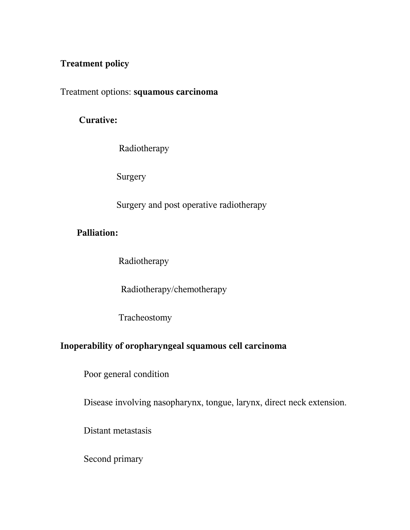## **Treatment policy**

Treatment options: **squamous carcinoma**

## **Curative:**

Radiotherapy

Surgery

Surgery and post operative radiotherapy

## **Palliation:**

Radiotherapy

Radiotherapy/chemotherapy

Tracheostomy

## **Inoperability of oropharyngeal squamous cell carcinoma**

Poor general condition

Disease involving nasopharynx, tongue, larynx, direct neck extension.

Distant metastasis

Second primary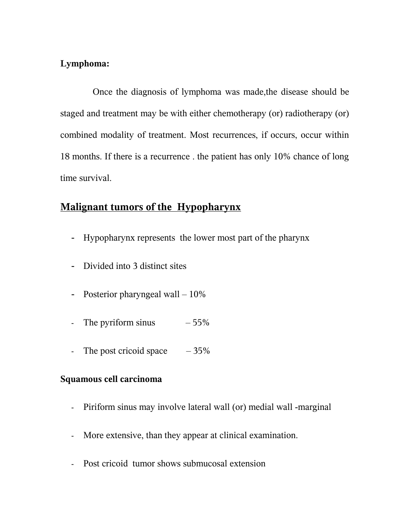## **Lymphoma:**

 Once the diagnosis of lymphoma was made,the disease should be staged and treatment may be with either chemotherapy (or) radiotherapy (or) combined modality of treatment. Most recurrences, if occurs, occur within 18 months. If there is a recurrence . the patient has only 10% chance of long time survival.

## **Malignant tumors of the Hypopharynx**

- Hypopharynx represents the lower most part of the pharynx
- Divided into 3 distinct sites
- Posterior pharyngeal wall  $-10\%$
- The pyriform sinus  $-55\%$
- The post cricoid space  $-35\%$

## **Squamous cell carcinoma**

- Piriform sinus may involve lateral wall (or) medial wall -marginal
- More extensive, than they appear at clinical examination.
- Post cricoid tumor shows submucosal extension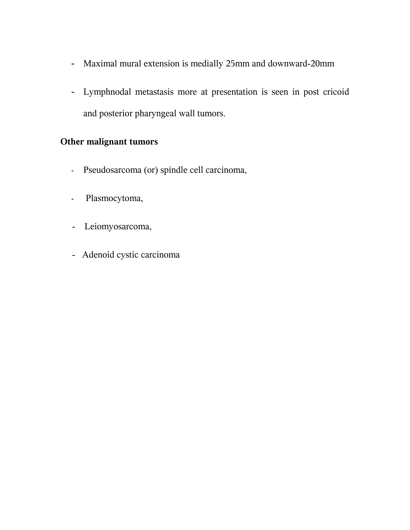- Maximal mural extension is medially 25mm and downward-20mm
- Lymphnodal metastasis more at presentation is seen in post cricoid and posterior pharyngeal wall tumors.

## **Other malignant tumors**

- Pseudosarcoma (or) spindle cell carcinoma,
- Plasmocytoma,
- Leiomyosarcoma,
- Adenoid cystic carcinoma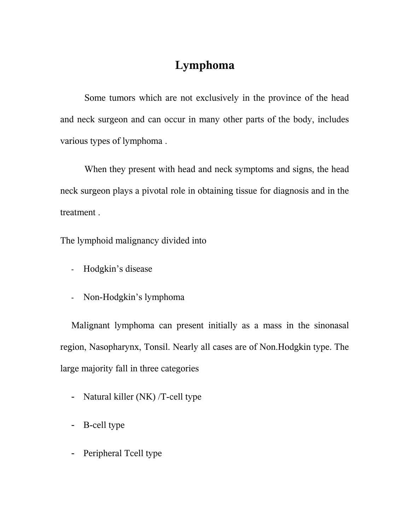## **Lymphoma**

Some tumors which are not exclusively in the province of the head and neck surgeon and can occur in many other parts of the body, includes various types of lymphoma .

When they present with head and neck symptoms and signs, the head neck surgeon plays a pivotal role in obtaining tissue for diagnosis and in the treatment .

The lymphoid malignancy divided into

- Hodgkin's disease
- Non-Hodgkin's lymphoma

Malignant lymphoma can present initially as a mass in the sinonasal region, Nasopharynx, Tonsil. Nearly all cases are of Non.Hodgkin type. The large majority fall in three categories

- Natural killer (NK) /T-cell type
- B-cell type
- Peripheral Tcell type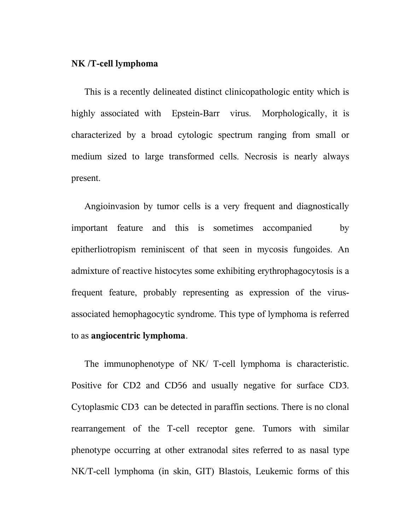#### **NK /T-cell lymphoma**

This is a recently delineated distinct clinicopathologic entity which is highly associated with Epstein-Barr virus. Morphologically, it is characterized by a broad cytologic spectrum ranging from small or medium sized to large transformed cells. Necrosis is nearly always present.

Angioinvasion by tumor cells is a very frequent and diagnostically important feature and this is sometimes accompanied by epitherliotropism reminiscent of that seen in mycosis fungoides. An admixture of reactive histocytes some exhibiting erythrophagocytosis is a frequent feature, probably representing as expression of the virusassociated hemophagocytic syndrome. This type of lymphoma is referred to as **angiocentric lymphoma**.

The immunophenotype of NK/ T-cell lymphoma is characteristic. Positive for CD2 and CD56 and usually negative for surface CD3. Cytoplasmic CD3 can be detected in paraffin sections. There is no clonal rearrangement of the T-cell receptor gene. Tumors with similar phenotype occurring at other extranodal sites referred to as nasal type NK/T-cell lymphoma (in skin, GIT) Blastois, Leukemic forms of this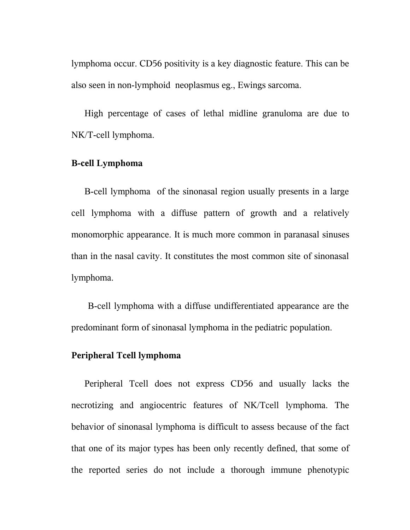lymphoma occur. CD56 positivity is a key diagnostic feature. This can be also seen in non-lymphoid neoplasmus eg., Ewings sarcoma.

High percentage of cases of lethal midline granuloma are due to NK/T-cell lymphoma.

## **B-cell Lymphoma**

B-cell lymphoma of the sinonasal region usually presents in a large cell lymphoma with a diffuse pattern of growth and a relatively monomorphic appearance. It is much more common in paranasal sinuses than in the nasal cavity. It constitutes the most common site of sinonasal lymphoma.

 B-cell lymphoma with a diffuse undifferentiated appearance are the predominant form of sinonasal lymphoma in the pediatric population.

#### **Peripheral Tcell lymphoma**

Peripheral Tcell does not express CD56 and usually lacks the necrotizing and angiocentric features of NK/Tcell lymphoma. The behavior of sinonasal lymphoma is difficult to assess because of the fact that one of its major types has been only recently defined, that some of the reported series do not include a thorough immune phenotypic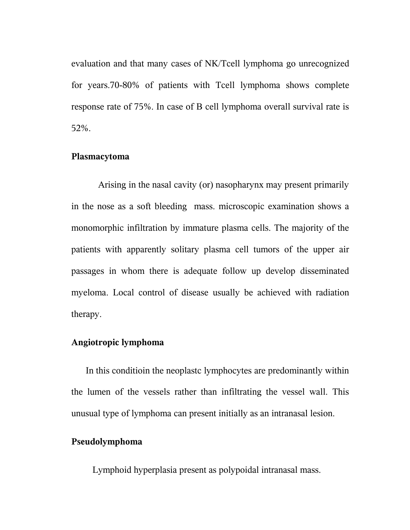evaluation and that many cases of NK/Tcell lymphoma go unrecognized for years.70-80% of patients with Tcell lymphoma shows complete response rate of 75%. In case of B cell lymphoma overall survival rate is 52%.

#### **Plasmacytoma**

 Arising in the nasal cavity (or) nasopharynx may present primarily in the nose as a soft bleeding mass. microscopic examination shows a monomorphic infiltration by immature plasma cells. The majority of the patients with apparently solitary plasma cell tumors of the upper air passages in whom there is adequate follow up develop disseminated myeloma. Local control of disease usually be achieved with radiation therapy.

#### **Angiotropic lymphoma**

 In this conditioin the neoplastc lymphocytes are predominantly within the lumen of the vessels rather than infiltrating the vessel wall. This unusual type of lymphoma can present initially as an intranasal lesion.

#### **Pseudolymphoma**

Lymphoid hyperplasia present as polypoidal intranasal mass.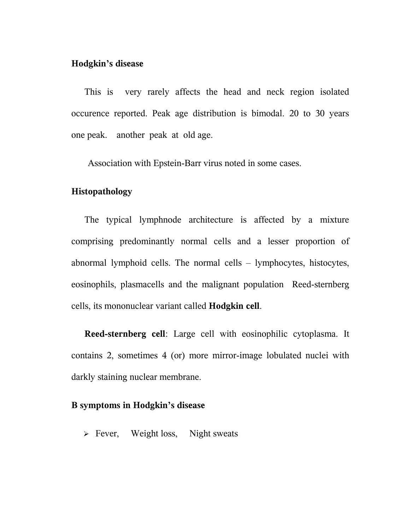## **Hodgkin's disease**

This is very rarely affects the head and neck region isolated occurence reported. Peak age distribution is bimodal. 20 to 30 years one peak. another peak at old age.

Association with Epstein-Barr virus noted in some cases.

#### **Histopathology**

The typical lymphnode architecture is affected by a mixture comprising predominantly normal cells and a lesser proportion of abnormal lymphoid cells. The normal cells – lymphocytes, histocytes, eosinophils, plasmacells and the malignant population Reed-sternberg cells, its mononuclear variant called **Hodgkin cell**.

**Reed-sternberg cell**: Large cell with eosinophilic cytoplasma. It contains 2, sometimes 4 (or) more mirror-image lobulated nuclei with darkly staining nuclear membrane.

#### **B symptoms in Hodgkin's disease**

 $\triangleright$  Fever, Weight loss, Night sweats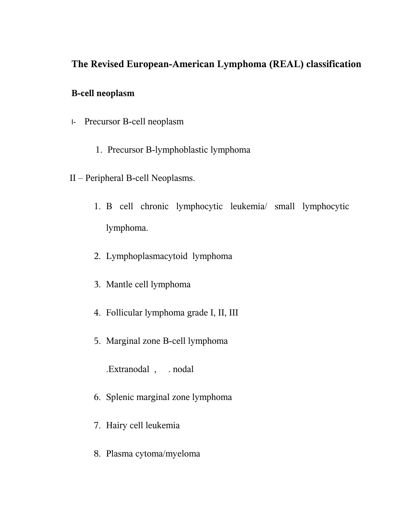## **The Revised European-American Lymphoma (REAL) classification**

## **B-cell neoplasm**

- I- Precursor B-cell neoplasm
	- 1. Precursor B-lymphoblastic lymphoma
- II Peripheral B-cell Neoplasms.
	- 1. B cell chronic lymphocytic leukemia/ small lymphocytic lymphoma.
	- 2. Lymphoplasmacytoid lymphoma
	- 3. Mantle cell lymphoma
	- 4. Follicular lymphoma grade I, II, III
	- 5. Marginal zone B-cell lymphoma

.Extranodal , . nodal

- 6. Splenic marginal zone lymphoma
- 7. Hairy cell leukemia
- 8. Plasma cytoma/myeloma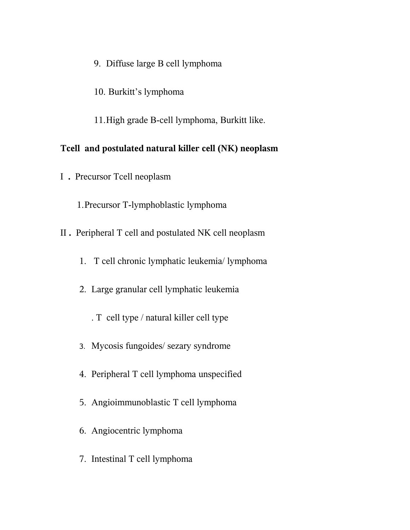- 9. Diffuse large B cell lymphoma
- 10. Burkitt's lymphoma
- 11.High grade B-cell lymphoma, Burkitt like.

## **Tcell and postulated natural killer cell (NK) neoplasm**

I **.** Precursor Tcell neoplasm

1.Precursor T-lymphoblastic lymphoma

- II **.** Peripheral T cell and postulated NK cell neoplasm
	- 1. T cell chronic lymphatic leukemia/ lymphoma
	- 2. Large granular cell lymphatic leukemia
		- . T cell type / natural killer cell type
	- 3. Mycosis fungoides/ sezary syndrome
	- 4. Peripheral T cell lymphoma unspecified
	- 5. Angioimmunoblastic T cell lymphoma
	- 6. Angiocentric lymphoma
	- 7. Intestinal T cell lymphoma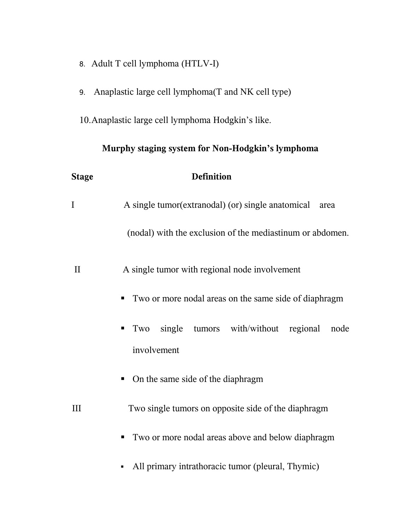- 8. Adult T cell lymphoma (HTLV-I)
- 9. Anaplastic large cell lymphoma(T and NK cell type)

10.Anaplastic large cell lymphoma Hodgkin's like.

# **Murphy staging system for Non-Hodgkin's lymphoma Stage Definition** I A single tumor(extranodal) (or) single anatomical area (nodal) with the exclusion of the mediastinum or abdomen. II A single tumor with regional node involvement Two or more nodal areas on the same side of diaphragm **Two** single tumors with/without regional node involvement • On the same side of the diaphragm III Two single tumors on opposite side of the diaphragm ■ Two or more nodal areas above and below diaphragm All primary intrathoracic tumor (pleural, Thymic)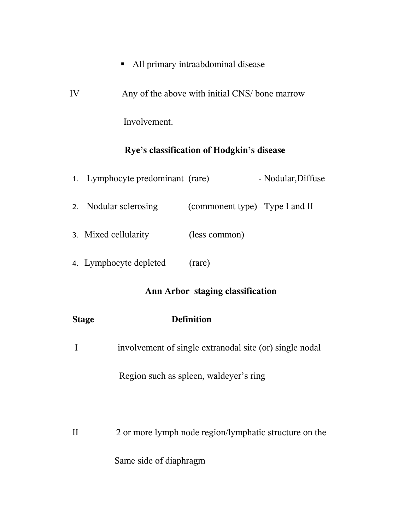- All primary intraabdominal disease
- IV Any of the above with initial CNS/ bone marrow

# **Rye's classification of Hodgkin's disease**

Involvement.

| 1. Lymphocyte predominant (rare) |                                   | - Nodular, Diffuse |
|----------------------------------|-----------------------------------|--------------------|
| 2. Nodular sclerosing            | (commonent type) $-Type I$ and II |                    |
| 3. Mixed cellularity             | (less common)                     |                    |
| 4. Lymphocyte depleted           | (rare)                            |                    |

## **Ann Arbor staging classification**

| <b>Stage</b> | <b>Definition</b>                                       |
|--------------|---------------------------------------------------------|
| I            | involvement of single extranodal site (or) single nodal |
|              | Region such as spleen, waldever's ring                  |
|              |                                                         |
| $\mathbf{I}$ | 2 or more lymph node region/lymphatic structure on the  |
|              | Same side of diaphragm                                  |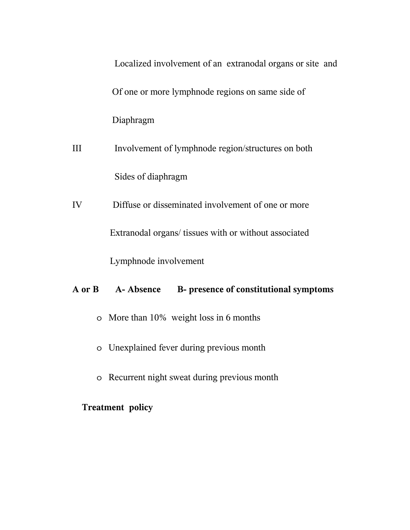|        | Localized involvement of an extranodal organs or site and |
|--------|-----------------------------------------------------------|
|        | Of one or more lymphnode regions on same side of          |
|        | Diaphragm                                                 |
| III    | Involvement of lymphnode region/structures on both        |
|        | Sides of diaphragm                                        |
| IV     | Diffuse or disseminated involvement of one or more        |
|        | Extranodal organs/ tissues with or without associated     |
|        | Lymphnode involvement                                     |
| A or B | B- presence of constitutional symptoms<br>A-Absence       |
|        | o More than 10% weight loss in 6 months                   |
|        | o Unexplained fever during previous month                 |

o Recurrent night sweat during previous month

## **Treatment policy**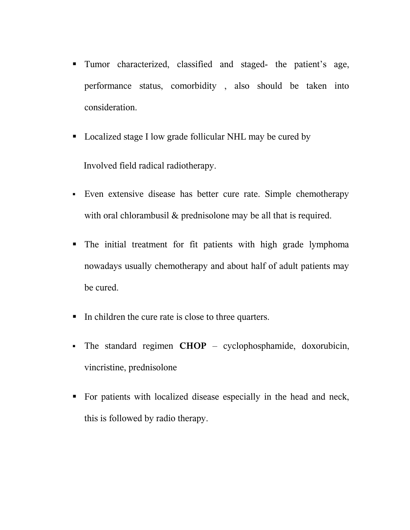- Tumor characterized, classified and staged- the patient's age, performance status, comorbidity , also should be taken into consideration.
- Localized stage I low grade follicular NHL may be cured by

Involved field radical radiotherapy.

- Even extensive disease has better cure rate. Simple chemotherapy with oral chlorambusil & prednisolone may be all that is required.
- The initial treatment for fit patients with high grade lymphoma nowadays usually chemotherapy and about half of adult patients may be cured.
- In children the cure rate is close to three quarters.
- The standard regimen **CHOP** cyclophosphamide, doxorubicin, vincristine, prednisolone
- For patients with localized disease especially in the head and neck, this is followed by radio therapy.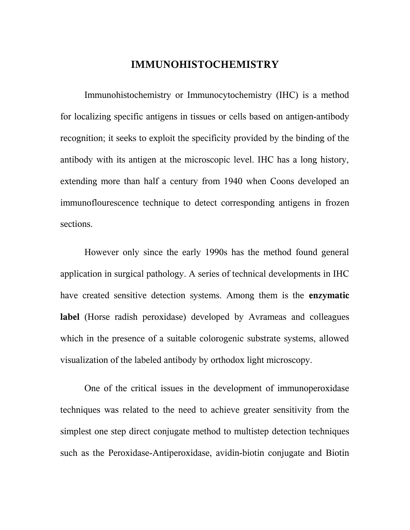## **IMMUNOHISTOCHEMISTRY**

Immunohistochemistry or Immunocytochemistry (IHC) is a method for localizing specific antigens in tissues or cells based on antigen-antibody recognition; it seeks to exploit the specificity provided by the binding of the antibody with its antigen at the microscopic level. IHC has a long history, extending more than half a century from 1940 when Coons developed an immunoflourescence technique to detect corresponding antigens in frozen sections.

However only since the early 1990s has the method found general application in surgical pathology. A series of technical developments in IHC have created sensitive detection systems. Among them is the **enzymatic label** (Horse radish peroxidase) developed by Avrameas and colleagues which in the presence of a suitable colorogenic substrate systems, allowed visualization of the labeled antibody by orthodox light microscopy.

One of the critical issues in the development of immunoperoxidase techniques was related to the need to achieve greater sensitivity from the simplest one step direct conjugate method to multistep detection techniques such as the Peroxidase-Antiperoxidase, avidin-biotin conjugate and Biotin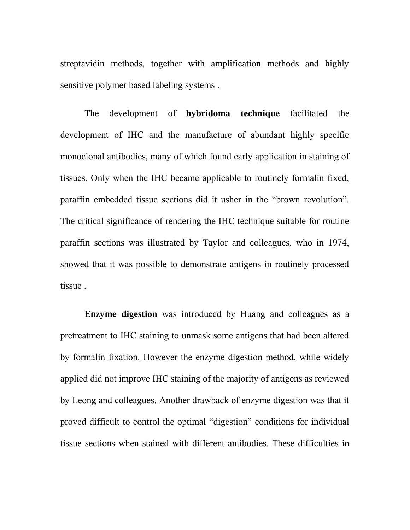streptavidin methods, together with amplification methods and highly sensitive polymer based labeling systems .

The development of **hybridoma technique** facilitated the development of IHC and the manufacture of abundant highly specific monoclonal antibodies, many of which found early application in staining of tissues. Only when the IHC became applicable to routinely formalin fixed, paraffin embedded tissue sections did it usher in the "brown revolution". The critical significance of rendering the IHC technique suitable for routine paraffin sections was illustrated by Taylor and colleagues, who in 1974, showed that it was possible to demonstrate antigens in routinely processed tissue .

**Enzyme digestion** was introduced by Huang and colleagues as a pretreatment to IHC staining to unmask some antigens that had been altered by formalin fixation. However the enzyme digestion method, while widely applied did not improve IHC staining of the majority of antigens as reviewed by Leong and colleagues. Another drawback of enzyme digestion was that it proved difficult to control the optimal "digestion" conditions for individual tissue sections when stained with different antibodies. These difficulties in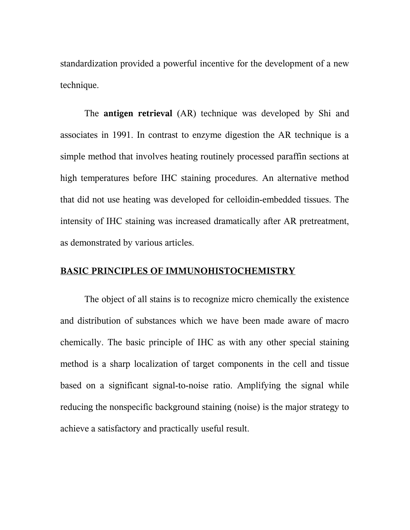standardization provided a powerful incentive for the development of a new technique.

The **antigen retrieval** (AR) technique was developed by Shi and associates in 1991. In contrast to enzyme digestion the AR technique is a simple method that involves heating routinely processed paraffin sections at high temperatures before IHC staining procedures. An alternative method that did not use heating was developed for celloidin-embedded tissues. The intensity of IHC staining was increased dramatically after AR pretreatment, as demonstrated by various articles.

#### **BASIC PRINCIPLES OF IMMUNOHISTOCHEMISTRY**

The object of all stains is to recognize micro chemically the existence and distribution of substances which we have been made aware of macro chemically. The basic principle of IHC as with any other special staining method is a sharp localization of target components in the cell and tissue based on a significant signal-to-noise ratio. Amplifying the signal while reducing the nonspecific background staining (noise) is the major strategy to achieve a satisfactory and practically useful result.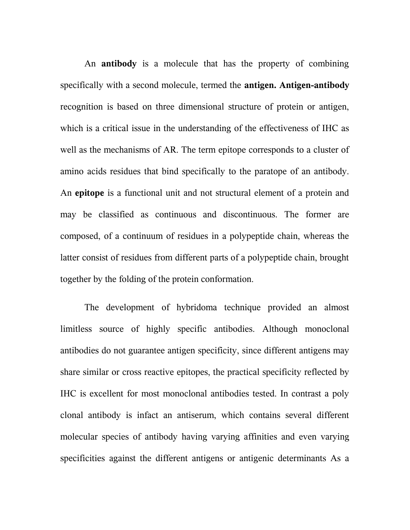An **antibody** is a molecule that has the property of combining specifically with a second molecule, termed the **antigen. Antigen-antibody** recognition is based on three dimensional structure of protein or antigen, which is a critical issue in the understanding of the effectiveness of IHC as well as the mechanisms of AR. The term epitope corresponds to a cluster of amino acids residues that bind specifically to the paratope of an antibody. An **epitope** is a functional unit and not structural element of a protein and may be classified as continuous and discontinuous. The former are composed, of a continuum of residues in a polypeptide chain, whereas the latter consist of residues from different parts of a polypeptide chain, brought together by the folding of the protein conformation.

The development of hybridoma technique provided an almost limitless source of highly specific antibodies. Although monoclonal antibodies do not guarantee antigen specificity, since different antigens may share similar or cross reactive epitopes, the practical specificity reflected by IHC is excellent for most monoclonal antibodies tested. In contrast a poly clonal antibody is infact an antiserum, which contains several different molecular species of antibody having varying affinities and even varying specificities against the different antigens or antigenic determinants As a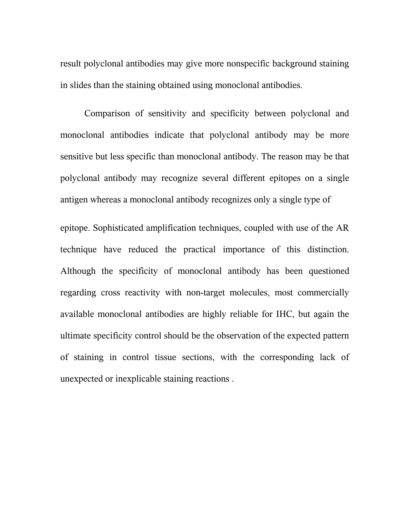result polyclonal antibodies may give more nonspecific background staining in slides than the staining obtained using monoclonal antibodies.

Comparison of sensitivity and specificity between polyclonal and monoclonal antibodies indicate that polyclonal antibody may be more sensitive but less specific than monoclonal antibody. The reason may be that polyclonal antibody may recognize several different epitopes on a single antigen whereas a monoclonal antibody recognizes only a single type of

epitope. Sophisticated amplification techniques, coupled with use of the AR technique have reduced the practical importance of this distinction. Although the specificity of monoclonal antibody has been questioned regarding cross reactivity with non-target molecules, most commercially available monoclonal antibodies are highly reliable for IHC, but again the ultimate specificity control should be the observation of the expected pattern of staining in control tissue sections, with the corresponding lack of unexpected or inexplicable staining reactions .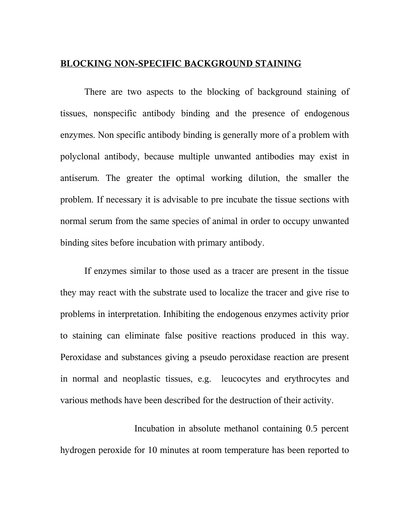## **BLOCKING NON-SPECIFIC BACKGROUND STAINING**

There are two aspects to the blocking of background staining of tissues, nonspecific antibody binding and the presence of endogenous enzymes. Non specific antibody binding is generally more of a problem with polyclonal antibody, because multiple unwanted antibodies may exist in antiserum. The greater the optimal working dilution, the smaller the problem. If necessary it is advisable to pre incubate the tissue sections with normal serum from the same species of animal in order to occupy unwanted binding sites before incubation with primary antibody.

If enzymes similar to those used as a tracer are present in the tissue they may react with the substrate used to localize the tracer and give rise to problems in interpretation. Inhibiting the endogenous enzymes activity prior to staining can eliminate false positive reactions produced in this way. Peroxidase and substances giving a pseudo peroxidase reaction are present in normal and neoplastic tissues, e.g. leucocytes and erythrocytes and various methods have been described for the destruction of their activity.

 Incubation in absolute methanol containing 0.5 percent hydrogen peroxide for 10 minutes at room temperature has been reported to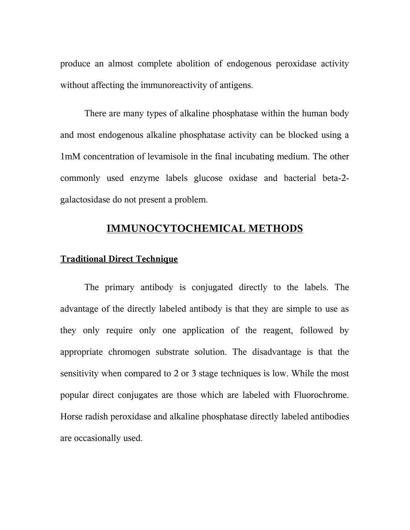produce an almost complete abolition of endogenous peroxidase activity without affecting the immunoreactivity of antigens.

There are many types of alkaline phosphatase within the human body and most endogenous alkaline phosphatase activity can be blocked using a 1mM concentration of levamisole in the final incubating medium. The other commonly used enzyme labels glucose oxidase and bacterial beta-2 galactosidase do not present a problem.

## **IMMUNOCYTOCHEMICAL METHODS**

## **Traditional Direct Technique**

The primary antibody is conjugated directly to the labels. The advantage of the directly labeled antibody is that they are simple to use as they only require only one application of the reagent, followed by appropriate chromogen substrate solution. The disadvantage is that the sensitivity when compared to 2 or 3 stage techniques is low. While the most popular direct conjugates are those which are labeled with Fluorochrome. Horse radish peroxidase and alkaline phosphatase directly labeled antibodies are occasionally used.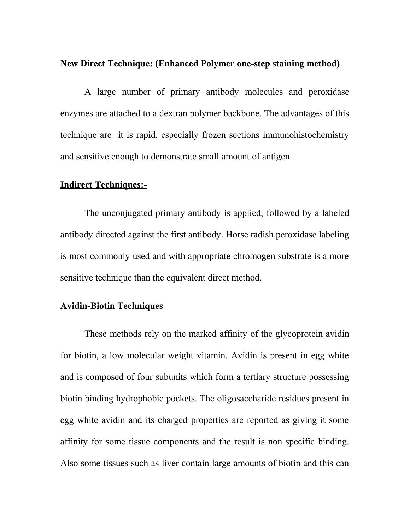## **New Direct Technique: (Enhanced Polymer one-step staining method)**

A large number of primary antibody molecules and peroxidase enzymes are attached to a dextran polymer backbone. The advantages of this technique are it is rapid, especially frozen sections immunohistochemistry and sensitive enough to demonstrate small amount of antigen.

### **Indirect Techniques:-**

The unconjugated primary antibody is applied, followed by a labeled antibody directed against the first antibody. Horse radish peroxidase labeling is most commonly used and with appropriate chromogen substrate is a more sensitive technique than the equivalent direct method.

## **Avidin-Biotin Techniques**

These methods rely on the marked affinity of the glycoprotein avidin for biotin, a low molecular weight vitamin. Avidin is present in egg white and is composed of four subunits which form a tertiary structure possessing biotin binding hydrophobic pockets. The oligosaccharide residues present in egg white avidin and its charged properties are reported as giving it some affinity for some tissue components and the result is non specific binding. Also some tissues such as liver contain large amounts of biotin and this can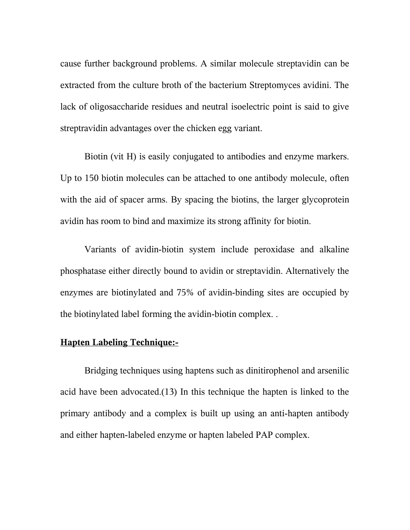cause further background problems. A similar molecule streptavidin can be extracted from the culture broth of the bacterium Streptomyces avidini. The lack of oligosaccharide residues and neutral isoelectric point is said to give streptravidin advantages over the chicken egg variant.

Biotin (vit H) is easily conjugated to antibodies and enzyme markers. Up to 150 biotin molecules can be attached to one antibody molecule, often with the aid of spacer arms. By spacing the biotins, the larger glycoprotein avidin has room to bind and maximize its strong affinity for biotin.

Variants of avidin-biotin system include peroxidase and alkaline phosphatase either directly bound to avidin or streptavidin. Alternatively the enzymes are biotinylated and 75% of avidin-binding sites are occupied by the biotinylated label forming the avidin-biotin complex. .

#### **Hapten Labeling Technique:-**

Bridging techniques using haptens such as dinitirophenol and arsenilic acid have been advocated.(13) In this technique the hapten is linked to the primary antibody and a complex is built up using an anti-hapten antibody and either hapten-labeled enzyme or hapten labeled PAP complex.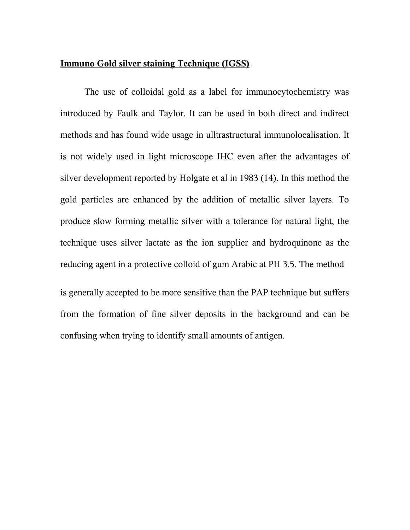## **Immuno Gold silver staining Technique (IGSS)**

The use of colloidal gold as a label for immunocytochemistry was introduced by Faulk and Taylor. It can be used in both direct and indirect methods and has found wide usage in ulltrastructural immunolocalisation. It is not widely used in light microscope IHC even after the advantages of silver development reported by Holgate et al in 1983 (14). In this method the gold particles are enhanced by the addition of metallic silver layers. To produce slow forming metallic silver with a tolerance for natural light, the technique uses silver lactate as the ion supplier and hydroquinone as the reducing agent in a protective colloid of gum Arabic at PH 3.5. The method

is generally accepted to be more sensitive than the PAP technique but suffers from the formation of fine silver deposits in the background and can be confusing when trying to identify small amounts of antigen.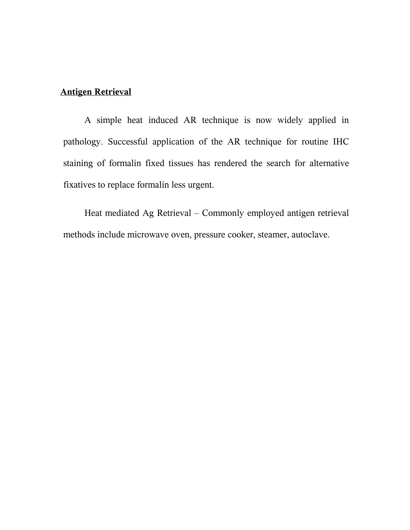## **Antigen Retrieval**

A simple heat induced AR technique is now widely applied in pathology. Successful application of the AR technique for routine IHC staining of formalin fixed tissues has rendered the search for alternative fixatives to replace formalin less urgent.

Heat mediated Ag Retrieval – Commonly employed antigen retrieval methods include microwave oven, pressure cooker, steamer, autoclave.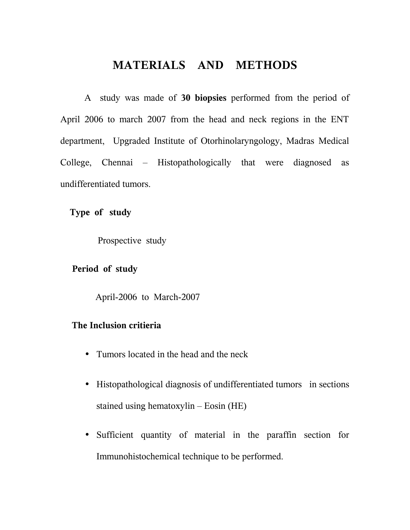# **MATERIALS AND METHODS**

 A study was made of **30 biopsies** performed from the period of April 2006 to march 2007 from the head and neck regions in the ENT department, Upgraded Institute of Otorhinolaryngology, Madras Medical College, Chennai – Histopathologically that were diagnosed as undifferentiated tumors.

 **Type of study**

Prospective study

## **Period of study**

April-2006 to March-2007

## **The Inclusion critieria**

- Tumors located in the head and the neck
- Histopathological diagnosis of undifferentiated tumors in sections stained using hematoxylin – Eosin (HE)
- Sufficient quantity of material in the paraffin section for Immunohistochemical technique to be performed.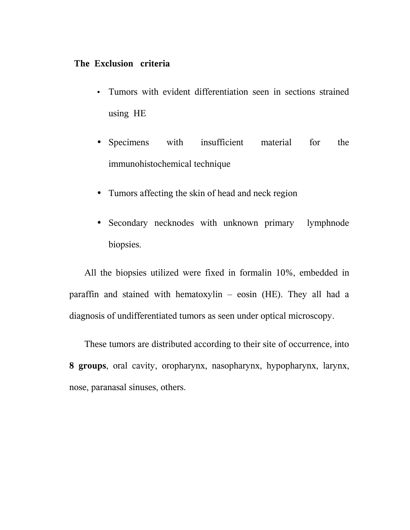## **The Exclusion criteria**

- Tumors with evident differentiation seen in sections strained using HE
- Specimens with insufficient material for the immunohistochemical technique
- Tumors affecting the skin of head and neck region
- Secondary necknodes with unknown primary lymphnode biopsies.

All the biopsies utilized were fixed in formalin 10%, embedded in paraffin and stained with hematoxylin – eosin (HE). They all had a diagnosis of undifferentiated tumors as seen under optical microscopy.

These tumors are distributed according to their site of occurrence, into **8 groups**, oral cavity, oropharynx, nasopharynx, hypopharynx, larynx, nose, paranasal sinuses, others.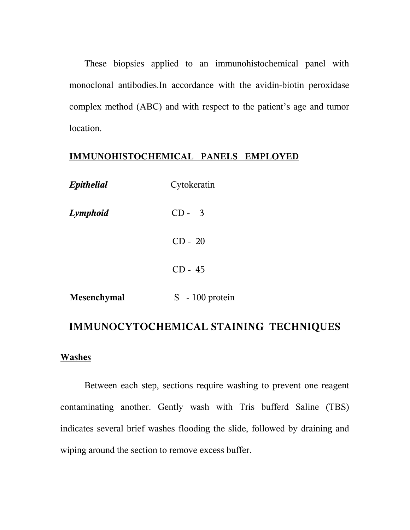These biopsies applied to an immunohistochemical panel with monoclonal antibodies.In accordance with the avidin-biotin peroxidase complex method (ABC) and with respect to the patient's age and tumor location.

## **IMMUNOHISTOCHEMICAL PANELS EMPLOYED**

| Epithelial         | Cytokeratin       |
|--------------------|-------------------|
| Lymphoid           | $CD - 3$          |
|                    | $CD - 20$         |
|                    | $CD - 45$         |
| <b>Mesenchymal</b> | $S - 100$ protein |
|                    |                   |

# **IMMUNOCYTOCHEMICAL STAINING TECHNIQUES**

#### **Washes**

Between each step, sections require washing to prevent one reagent contaminating another. Gently wash with Tris bufferd Saline (TBS) indicates several brief washes flooding the slide, followed by draining and wiping around the section to remove excess buffer.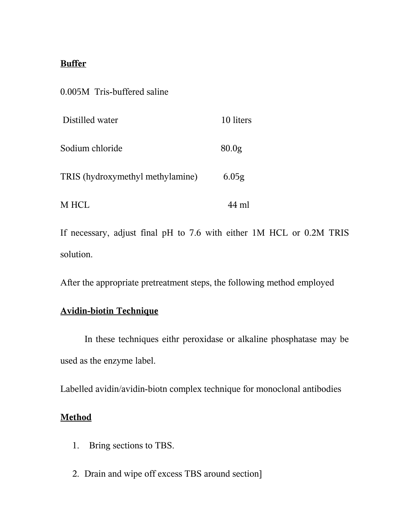# **Buffer**

| 0.005M Tris-buffered saline      |                   |
|----------------------------------|-------------------|
| Distilled water                  | 10 liters         |
| Sodium chloride                  | 80.0 <sub>g</sub> |
| TRIS (hydroxymethyl methylamine) | 6.05 <sub>g</sub> |
| M HCL                            | 44 ml             |

If necessary, adjust final pH to 7.6 with either 1M HCL or 0.2M TRIS solution.

After the appropriate pretreatment steps, the following method employed

# **Avidin-biotin Technique**

 In these techniques eithr peroxidase or alkaline phosphatase may be used as the enzyme label.

Labelled avidin/avidin-biotn complex technique for monoclonal antibodies

# **Method**

- 1. Bring sections to TBS.
- 2. Drain and wipe off excess TBS around section]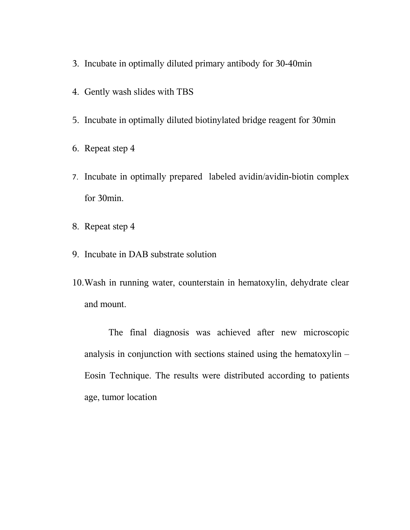- 3. Incubate in optimally diluted primary antibody for 30-40min
- 4. Gently wash slides with TBS
- 5. Incubate in optimally diluted biotinylated bridge reagent for 30min
- 6. Repeat step 4
- 7. Incubate in optimally prepared labeled avidin/avidin-biotin complex for 30min.
- 8. Repeat step 4
- 9. Incubate in DAB substrate solution
- 10.Wash in running water, counterstain in hematoxylin, dehydrate clear and mount.

The final diagnosis was achieved after new microscopic analysis in conjunction with sections stained using the hematoxylin – Eosin Technique. The results were distributed according to patients age, tumor location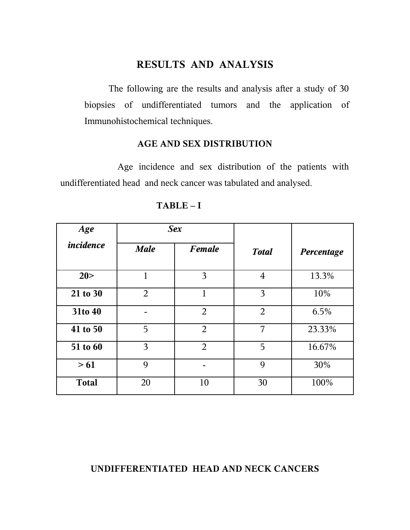# **RESULTS AND ANALYSIS**

The following are the results and analysis after a study of 30 biopsies of undifferentiated tumors and the application of Immunohistochemical techniques.

## **AGE AND SEX DISTRIBUTION**

 Age incidence and sex distribution of the patients with undifferentiated head and neck cancer was tabulated and analysed.

| Age              | Sex            |                |                |            |
|------------------|----------------|----------------|----------------|------------|
| <i>incidence</i> | <b>Male</b>    | <b>Female</b>  | <b>Total</b>   | Percentage |
| 20 >             | 1              | 3              | $\overline{4}$ | 13.3%      |
| 21 to 30         | $\overline{2}$ | $\mathbf{1}$   | 3              | 10%        |
| 31to 40          | -              | $\overline{2}$ | $\overline{2}$ | 6.5%       |
| 41 to 50         | 5              | $\overline{2}$ | 7              | 23.33%     |
| 51 to 60         | 3              | $\overline{2}$ | 5              | 16.67%     |
| > 61             | 9              |                | 9              | 30%        |
| <b>Total</b>     | 20             | 10             | 30             | 100%       |

 **TABLE – I**

## **UNDIFFERENTIATED HEAD AND NECK CANCERS**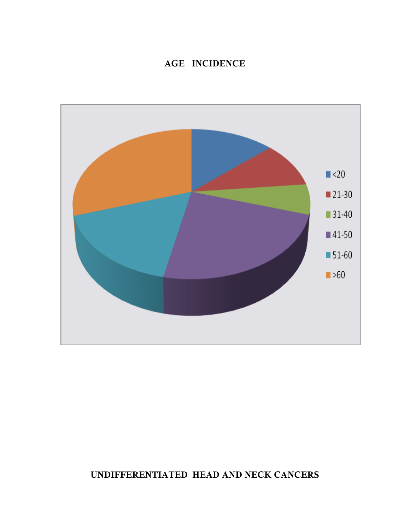# **AGE INCIDENCE**



# **UNDIFFERENTIATED HEAD AND NECK CANCERS**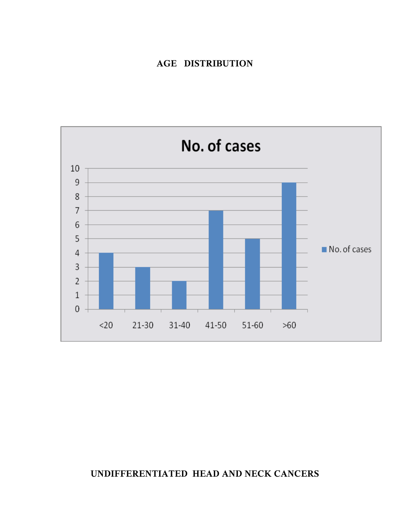## **AGE DISTRIBUTION**



# **UNDIFFERENTIATED HEAD AND NECK CANCERS**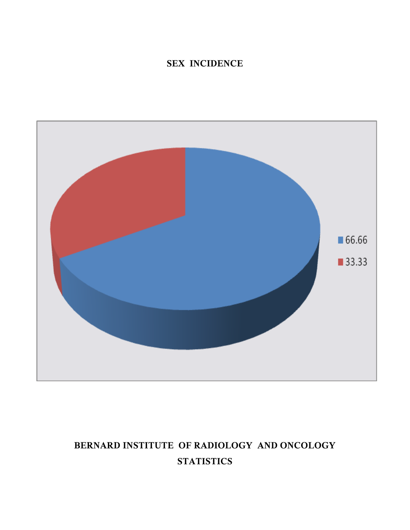# **SEX INCIDENCE**



# **BERNARD INSTITUTE OF RADIOLOGY AND ONCOLOGY STATISTICS**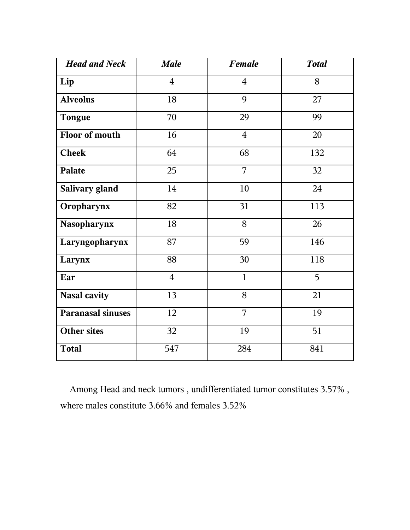| <b>Head and Neck</b>     | <b>Male</b>    | <b>Female</b>  | <b>Total</b> |
|--------------------------|----------------|----------------|--------------|
| Lip                      | $\overline{4}$ | $\overline{4}$ | 8            |
| <b>Alveolus</b>          | 18             | 9              | 27           |
| <b>Tongue</b>            | 70             | 29             | 99           |
| Floor of mouth           | 16             | $\overline{4}$ | 20           |
| <b>Cheek</b>             | 64             | 68             | 132          |
| Palate                   | 25             | 7              | 32           |
| Salivary gland           | 14             | 10             | 24           |
| Oropharynx               | 82             | 31             | 113          |
| Nasopharynx              | 18             | 8              | 26           |
| Laryngopharynx           | 87             | 59             | 146          |
| Larynx                   | 88             | 30             | 118          |
| Ear                      | $\overline{4}$ | $\mathbf{1}$   | 5            |
| <b>Nasal cavity</b>      | 13             | 8              | 21           |
| <b>Paranasal sinuses</b> | 12             | 7              | 19           |
| <b>Other sites</b>       | 32             | 19             | 51           |
| <b>Total</b>             | 547            | 284            | 841          |

 Among Head and neck tumors , undifferentiated tumor constitutes 3.57% , where males constitute 3.66% and females 3.52%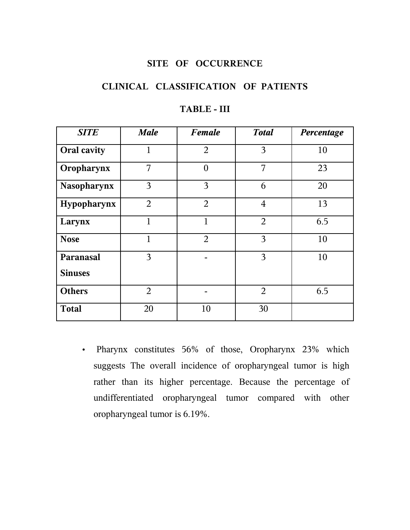## **SITE OF OCCURRENCE**

## **CLINICAL CLASSIFICATION OF PATIENTS**

| <b>SITE</b>        | <b>Male</b>    | <b>Female</b>  | <b>Total</b>   | Percentage |
|--------------------|----------------|----------------|----------------|------------|
| <b>Oral cavity</b> | 1              | $\overline{2}$ | 3              | 10         |
| Oropharynx         | 7              | $\theta$       | 7              | 23         |
| <b>Nasopharynx</b> | 3              | 3              | 6              | 20         |
| Hypopharynx        | $\overline{2}$ | $\overline{2}$ | $\overline{4}$ | 13         |
| Larynx             | $\mathbf 1$    | $\mathbf{1}$   | $\overline{2}$ | 6.5        |
| <b>Nose</b>        | 1              | $\overline{2}$ | 3              | 10         |
| Paranasal          | 3              |                | 3              | 10         |
| <b>Sinuses</b>     |                |                |                |            |
| <b>Others</b>      | $\overline{2}$ |                | 2              | 6.5        |
| <b>Total</b>       | 20             | 10             | 30             |            |

## **TABLE - III**

• Pharynx constitutes 56% of those, Oropharynx 23% which suggests The overall incidence of oropharyngeal tumor is high rather than its higher percentage. Because the percentage of undifferentiated oropharyngeal tumor compared with other oropharyngeal tumor is 6.19%.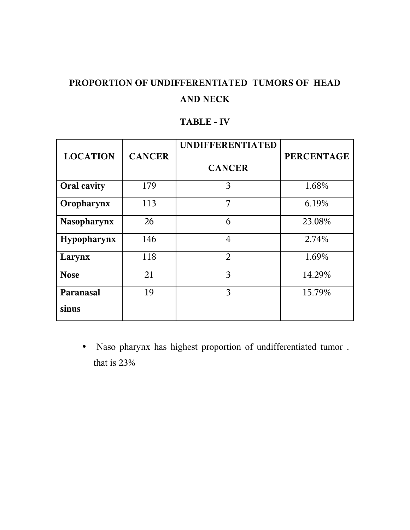# **PROPORTION OF UNDIFFERENTIATED TUMORS OF HEAD AND NECK**

## **TABLE - IV**

| <b>LOCATION</b> | <b>CANCER</b> | <b>UNDIFFERENTIATED</b> | <b>PERCENTAGE</b> |
|-----------------|---------------|-------------------------|-------------------|
|                 |               | <b>CANCER</b>           |                   |
| Oral cavity     | 179           | 3                       | 1.68%             |
| Oropharynx      | 113           | 7                       | 6.19%             |
| Nasopharynx     | 26            | 6                       | 23.08%            |
| Hypopharynx     | 146           | $\overline{4}$          | 2.74%             |
| Larynx          | 118           | $\overline{2}$          | 1.69%             |
| <b>Nose</b>     | 21            | 3                       | 14.29%            |
| Paranasal       | 19            | 3                       | 15.79%            |
| sinus           |               |                         |                   |

• Naso pharynx has highest proportion of undifferentiated tumor . that is 23%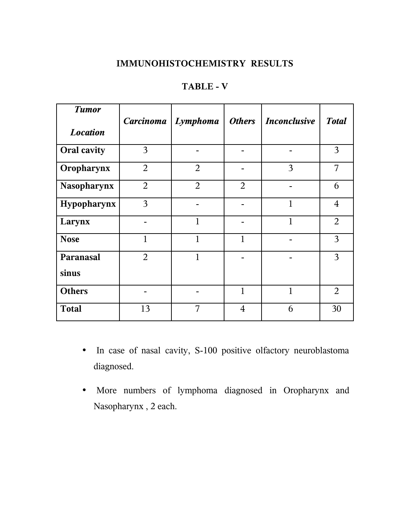# **IMMUNOHISTOCHEMISTRY RESULTS**

| <b>Tumor</b>       |                | Carcinoma   Lymphoma | <b>Others</b>  | <i><b>Inconclusive</b></i> | <b>Total</b>   |
|--------------------|----------------|----------------------|----------------|----------------------------|----------------|
| <b>Location</b>    |                |                      |                |                            |                |
| <b>Oral cavity</b> | 3              |                      |                |                            | 3              |
| Oropharynx         | $\overline{2}$ | $\overline{2}$       |                | 3                          | 7              |
| Nasopharynx        | $\overline{2}$ | $\overline{2}$       | 2              |                            | 6              |
| Hypopharynx        | 3              |                      |                | 1                          | $\overline{4}$ |
| Larynx             |                | $\mathbf{1}$         |                | 1                          | $\overline{2}$ |
| <b>Nose</b>        | $\mathbf{1}$   | 1                    | $\mathbf{1}$   |                            | 3              |
| Paranasal          | $\overline{2}$ | 1                    |                |                            | 3              |
| sinus              |                |                      |                |                            |                |
| <b>Others</b>      |                |                      | $\mathbf{1}$   | 1                          | $\overline{2}$ |
| <b>Total</b>       | 13             | 7                    | $\overline{4}$ | 6                          | 30             |

# **TABLE - V**

- In case of nasal cavity, S-100 positive olfactory neuroblastoma diagnosed.
- More numbers of lymphoma diagnosed in Oropharynx and Nasopharynx , 2 each.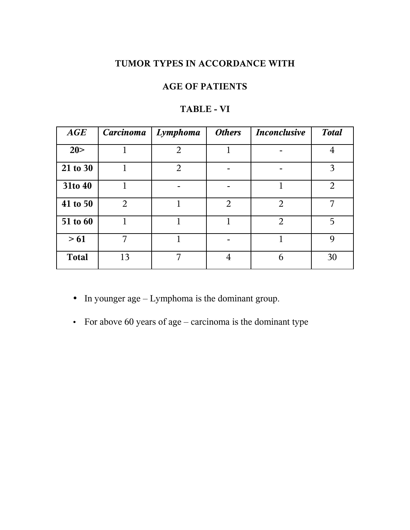# **TUMOR TYPES IN ACCORDANCE WITH**

# **AGE OF PATIENTS**

| AGE          | <b>Carcinoma</b> | Lymphoma       | <b>Others</b>  | <b>Inconclusive</b> | <b>Total</b>   |
|--------------|------------------|----------------|----------------|---------------------|----------------|
| 20 >         |                  | $\overline{2}$ | 1              |                     | $\overline{4}$ |
| 21 to 30     |                  | $\overline{2}$ |                |                     | 3              |
| 31to 40      |                  |                |                | 1                   | $\overline{2}$ |
| 41 to 50     | 2                | 1              | $\overline{2}$ | 2                   | 7              |
| 51 to 60     |                  |                |                | $\overline{2}$      | 5              |
| >61          | 7                |                |                |                     | 9              |
| <b>Total</b> | 13               | 7              | 4              | 6                   | 30             |

## **TABLE - VI**

• In younger age – Lymphoma is the dominant group.

• For above 60 years of age – carcinoma is the dominant type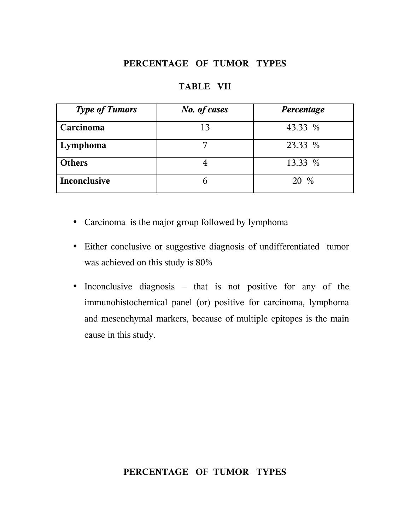## **PERCENTAGE OF TUMOR TYPES**

| <b>Type of Tumors</b> | <b>No.</b> of cases | Percentage |
|-----------------------|---------------------|------------|
| Carcinoma             | 13                  | 43.33 %    |
| Lymphoma              |                     | 23.33 %    |
| <b>Others</b>         |                     | 13.33 %    |
| Inconclusive          |                     | 20 %       |

#### **TABLE VII**

- Carcinoma is the major group followed by lymphoma
- Either conclusive or suggestive diagnosis of undifferentiated tumor was achieved on this study is 80%
- Inconclusive diagnosis that is not positive for any of the immunohistochemical panel (or) positive for carcinoma, lymphoma and mesenchymal markers, because of multiple epitopes is the main cause in this study.

## **PERCENTAGE OF TUMOR TYPES**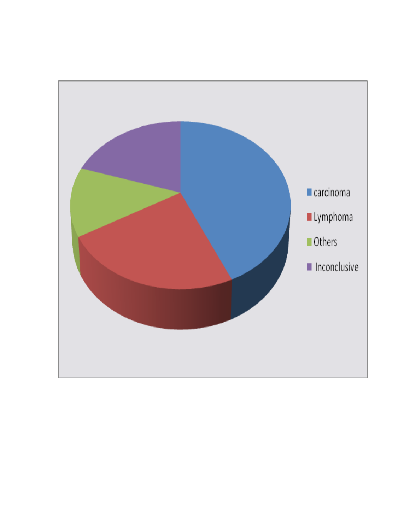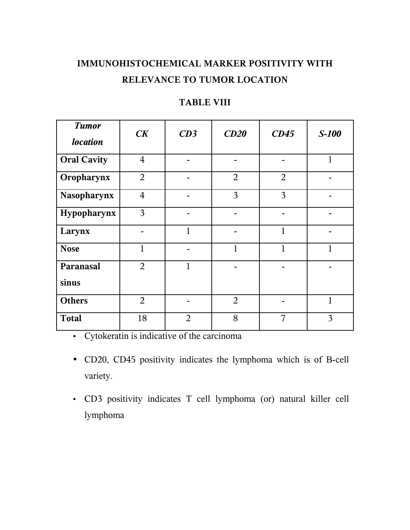# **IMMUNOHISTOCHEMICAL MARKER POSITIVITY WITH RELEVANCE TO TUMOR LOCATION**

# **TABLE VIII**

| <b>Tumor</b>       | CK             | CD3            | CD20           | CD45           | $S-100$      |
|--------------------|----------------|----------------|----------------|----------------|--------------|
| <b>location</b>    |                |                |                |                |              |
| <b>Oral Cavity</b> | $\overline{4}$ |                |                |                | $\mathbf{1}$ |
| Oropharynx         | $\overline{2}$ |                | $\overline{2}$ | $\overline{2}$ |              |
| <b>Nasopharynx</b> | $\overline{4}$ |                | 3              | 3              |              |
| Hypopharynx        | 3              |                |                |                |              |
| Larynx             |                | $\mathbf{1}$   |                | $\mathbf{1}$   |              |
| <b>Nose</b>        | 1              |                | $\mathbf{1}$   | $\mathbf{1}$   | 1            |
| Paranasal          | $\overline{2}$ | $\mathbf{1}$   |                |                |              |
| sinus              |                |                |                |                |              |
| <b>Others</b>      | $\overline{2}$ |                | $\overline{2}$ |                | $\mathbf{1}$ |
| <b>Total</b>       | 18             | $\overline{2}$ | 8              | 7              | 3            |

• Cytokeratin is indicative of the carcinoma

- CD20, CD45 positivity indicates the lymphoma which is of B-cell variety.
- CD3 positivity indicates T cell lymphoma (or) natural killer cell lymphoma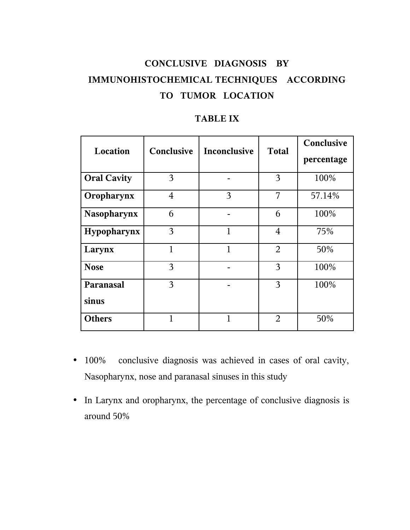# **CONCLUSIVE DIAGNOSIS BY IMMUNOHISTOCHEMICAL TECHNIQUES ACCORDING TO TUMOR LOCATION**

| Location           | Conclusive     | <b>Inconclusive</b> | <b>Total</b>   | Conclusive<br>percentage |
|--------------------|----------------|---------------------|----------------|--------------------------|
| <b>Oral Cavity</b> | 3              |                     | 3              | 100%                     |
| Oropharynx         | $\overline{4}$ | 3                   | 7              | 57.14%                   |
| <b>Nasopharynx</b> | 6              |                     | 6              | 100%                     |
| Hypopharynx        | 3              | 1                   | $\overline{4}$ | 75%                      |
| Larynx             | 1              | 1                   | $\overline{2}$ | 50%                      |
| <b>Nose</b>        | 3              |                     | 3              | 100%                     |
| Paranasal          | 3              |                     | 3              | 100%                     |
| sinus              |                |                     |                |                          |
| <b>Others</b>      | 1              | 1                   | 2              | 50%                      |

- 100% conclusive diagnosis was achieved in cases of oral cavity, Nasopharynx, nose and paranasal sinuses in this study
- In Larynx and oropharynx, the percentage of conclusive diagnosis is around 50%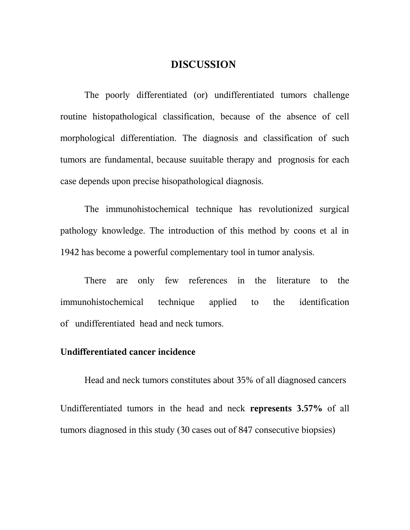## **DISCUSSION**

The poorly differentiated (or) undifferentiated tumors challenge routine histopathological classification, because of the absence of cell morphological differentiation. The diagnosis and classification of such tumors are fundamental, because suuitable therapy and prognosis for each case depends upon precise hisopathological diagnosis.

The immunohistochemical technique has revolutionized surgical pathology knowledge. The introduction of this method by coons et al in 1942 has become a powerful complementary tool in tumor analysis.

There are only few references in the literature to the immunohistochemical technique applied to the identification of undifferentiated head and neck tumors.

#### **Undifferentiated cancer incidence**

Head and neck tumors constitutes about 35% of all diagnosed cancers Undifferentiated tumors in the head and neck **represents 3.57%** of all tumors diagnosed in this study (30 cases out of 847 consecutive biopsies)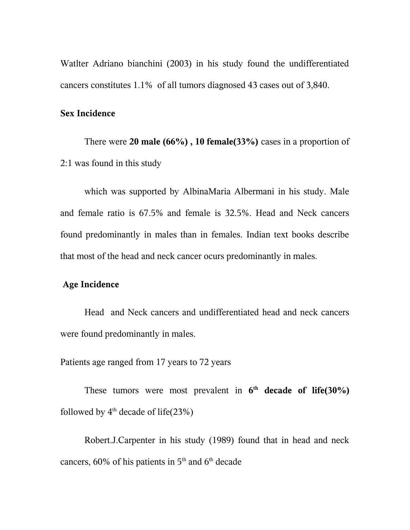Watlter Adriano bianchini (2003) in his study found the undifferentiated cancers constitutes 1.1% of all tumors diagnosed 43 cases out of 3,840.

#### **Sex Incidence**

There were **20 male (66%) , 10 female(33%)** cases in a proportion of 2:1 was found in this study

which was supported by AlbinaMaria Albermani in his study. Male and female ratio is 67.5% and female is 32.5%. Head and Neck cancers found predominantly in males than in females. Indian text books describe that most of the head and neck cancer ocurs predominantly in males.

#### **Age Incidence**

Head and Neck cancers and undifferentiated head and neck cancers were found predominantly in males.

Patients age ranged from 17 years to 72 years

These tumors were most prevalent in  $6<sup>th</sup>$  decade of life(30%) followed by  $4<sup>th</sup>$  decade of life(23%)

Robert.J.Carpenter in his study (1989) found that in head and neck cancers,  $60\%$  of his patients in  $5<sup>th</sup>$  and  $6<sup>th</sup>$  decade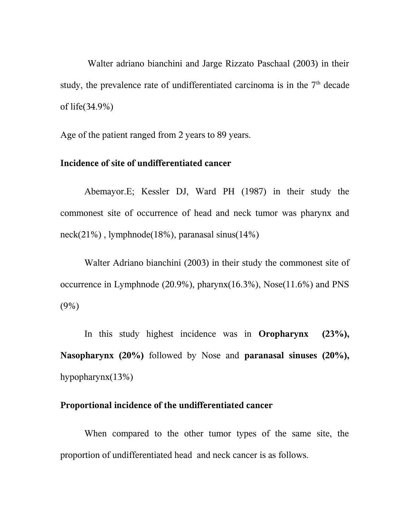Walter adriano bianchini and Jarge Rizzato Paschaal (2003) in their study, the prevalence rate of undifferentiated carcinoma is in the  $7<sup>th</sup>$  decade of life(34.9%)

Age of the patient ranged from 2 years to 89 years.

#### **Incidence of site of undifferentiated cancer**

Abemayor.E; Kessler DJ, Ward PH (1987) in their study the commonest site of occurrence of head and neck tumor was pharynx and neck(21%) , lymphnode(18%), paranasal sinus(14%)

Walter Adriano bianchini (2003) in their study the commonest site of occurrence in Lymphnode  $(20.9\%)$ , pharynx $(16.3\%)$ , Nose $(11.6\%)$  and PNS (9%)

In this study highest incidence was in **Oropharynx (23%), Nasopharynx (20%)** followed by Nose and **paranasal sinuses (20%),** hypopharynx(13%)

#### **Proportional incidence of the undifferentiated cancer**

When compared to the other tumor types of the same site, the proportion of undifferentiated head and neck cancer is as follows.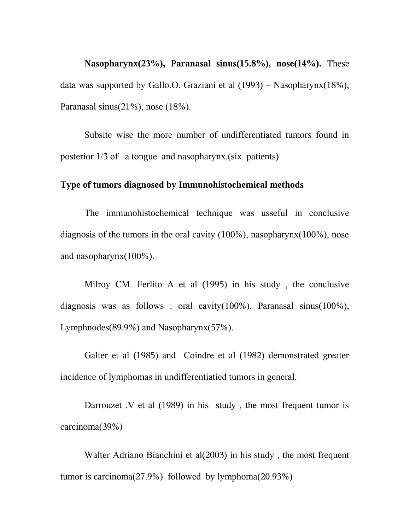**Nasopharynx(23%), Paranasal sinus(15.8%), nose(14%).** These data was supported by Gallo.O. Graziani et al (1993) – Nasopharynx(18%), Paranasal sinus(21%), nose (18%).

Subsite wise the more number of undifferentiated tumors found in posterior 1/3 of a tongue and nasopharynx.(six patients)

#### **Type of tumors diagnosed by Immunohistochemical methods**

The immunohistochemical technique was usseful in conclusive diagnosis of the tumors in the oral cavity (100%), nasopharynx(100%), nose and nasopharynx(100%).

Milroy CM. Ferlito A et al (1995) in his study , the conclusive diagnosis was as follows : oral cavity(100%), Paranasal sinus(100%), Lymphnodes(89.9%) and Nasopharynx(57%).

Galter et al (1985) and Coindre et al (1982) demonstrated greater incidence of lymphomas in undifferentiatied tumors in general.

Darrouzet .V et al (1989) in his study , the most frequent tumor is carcinoma(39%)

Walter Adriano Bianchini et al(2003) in his study , the most frequent tumor is carcinoma(27.9%) followed by lymphoma(20.93%)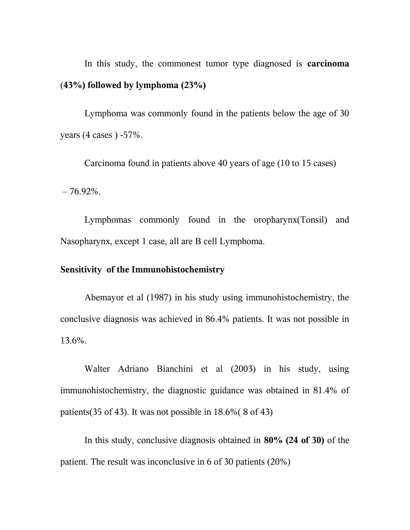In this study, the commonest tumor type diagnosed is **carcinoma** (**43%) followed by lymphoma (23%)**

Lymphoma was commonly found in the patients below the age of 30 years (4 cases ) -57%.

Carcinoma found in patients above 40 years of age (10 to 15 cases)  $-76.92\%$ .

Lymphomas commonly found in the oropharynx(Tonsil) and Nasopharynx, except 1 case, all are B cell Lymphoma.

#### **Sensitivity of the Immunohistochemistry**

Abemayor et al (1987) in his study using immunohistochemistry, the conclusive diagnosis was achieved in 86.4% patients. It was not possible in 13.6%.

Walter Adriano Bianchini et al (2003) in his study, using immunohistochemistry, the diagnostic guidance was obtained in 81.4% of patients(35 of 43). It was not possible in 18.6%( 8 of 43)

In this study, conclusive diagnosis obtained in **80% (24 of 30)** of the patient. The result was inconclusive in 6 of 30 patients (20%)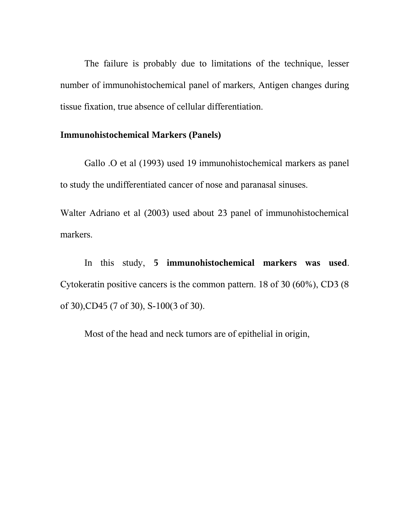The failure is probably due to limitations of the technique, lesser number of immunohistochemical panel of markers, Antigen changes during tissue fixation, true absence of cellular differentiation.

## **Immunohistochemical Markers (Panels)**

Gallo .O et al (1993) used 19 immunohistochemical markers as panel to study the undifferentiated cancer of nose and paranasal sinuses.

Walter Adriano et al (2003) used about 23 panel of immunohistochemical markers.

In this study, **5 immunohistochemical markers was used**. Cytokeratin positive cancers is the common pattern. 18 of 30 (60%), CD3 (8 of 30),CD45 (7 of 30), S-100(3 of 30).

Most of the head and neck tumors are of epithelial in origin,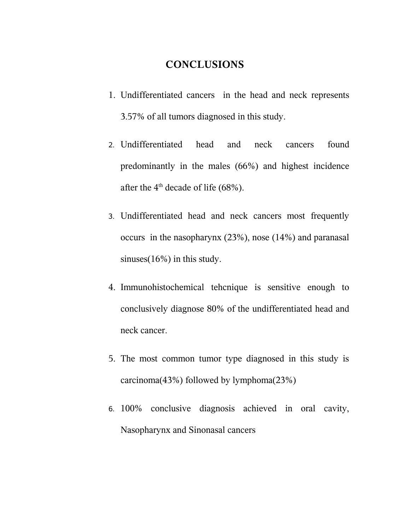## **CONCLUSIONS**

- 1. Undifferentiated cancers in the head and neck represents 3.57% of all tumors diagnosed in this study.
- 2. Undifferentiated head and neck cancers found predominantly in the males (66%) and highest incidence after the  $4<sup>th</sup>$  decade of life (68%).
- 3. Undifferentiated head and neck cancers most frequently occurs in the nasopharynx (23%), nose (14%) and paranasal sinuses(16%) in this study.
- 4. Immunohistochemical tehcnique is sensitive enough to conclusively diagnose 80% of the undifferentiated head and neck cancer.
- 5. The most common tumor type diagnosed in this study is carcinoma(43%) followed by lymphoma(23%)
- 6. 100% conclusive diagnosis achieved in oral cavity, Nasopharynx and Sinonasal cancers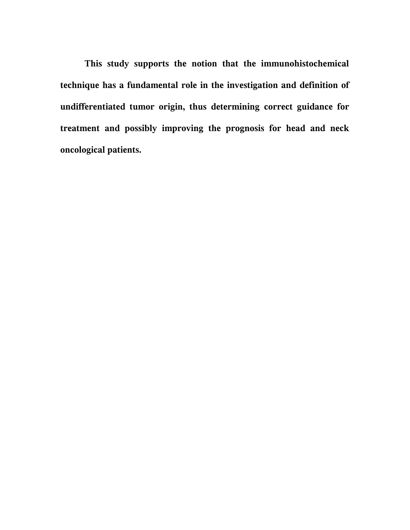**This study supports the notion that the immunohistochemical technique has a fundamental role in the investigation and definition of undifferentiated tumor origin, thus determining correct guidance for treatment and possibly improving the prognosis for head and neck oncological patients.**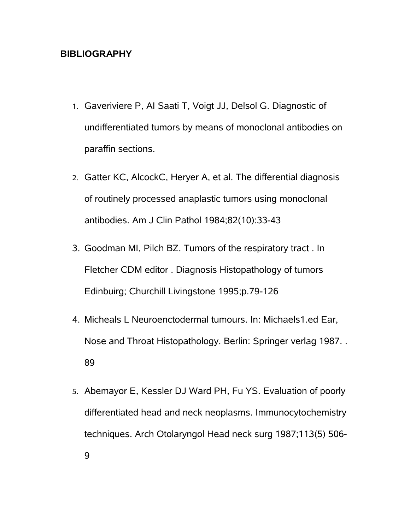## **BIBLIOGRAPHY**

- 1. Gaveriviere P, AI Saati T, Voigt JJ, Delsol G. Diagnostic of undifferentiated tumors by means of monoclonal antibodies on paraffin sections.
- 2. Gatter KC, AlcockC, Heryer A, et al. The differential diagnosis of routinely processed anaplastic tumors using monoclonal antibodies. Am J Clin Pathol 1984;82(10):33-43
- 3. Goodman MI, Pilch BZ. Tumors of the respiratory tract . In Fletcher CDM editor . Diagnosis Histopathology of tumors Edinbuirg; Churchill Livingstone 1995;p.79-126
- 4. Micheals L Neuroenctodermal tumours. In: Michaels1.ed Ear, Nose and Throat Histopathology. Berlin: Springer verlag 1987. . 89
- 5. Abemayor E, Kessler DJ Ward PH, Fu YS. Evaluation of poorly differentiated head and neck neoplasms. Immunocytochemistry techniques. Arch Otolaryngol Head neck surg 1987;113(5) 506- 9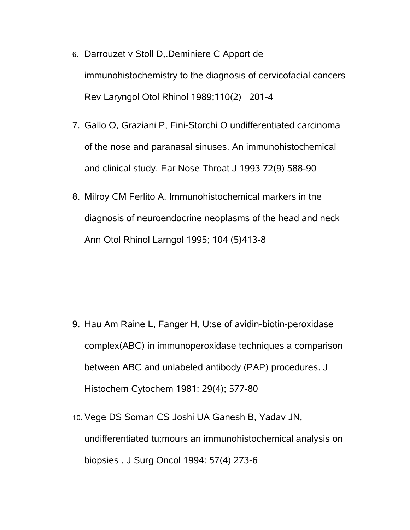- 6. Darrouzet v Stoll D,.Deminiere C Apport de immunohistochemistry to the diagnosis of cervicofacial cancers Rev Laryngol Otol Rhinol 1989;110(2) 201-4
- 7. Gallo O, Graziani P, Fini-Storchi O undifferentiated carcinoma of the nose and paranasal sinuses. An immunohistochemical and clinical study. Ear Nose Throat J 1993 72(9) 588-90
- 8. Milroy CM Ferlito A. Immunohistochemical markers in tne diagnosis of neuroendocrine neoplasms of the head and neck Ann Otol Rhinol Larngol 1995; 104 (5)413-8

- 9. Hau Am Raine L, Fanger H, U:se of avidin-biotin-peroxidase complex(ABC) in immunoperoxidase techniques a comparison between ABC and unlabeled antibody (PAP) procedures. J Histochem Cytochem 1981: 29(4); 577-80
- 10. Vege DS Soman CS Joshi UA Ganesh B, Yadav JN, undifferentiated tu;mours an immunohistochemical analysis on biopsies . J Surg Oncol 1994: 57(4) 273-6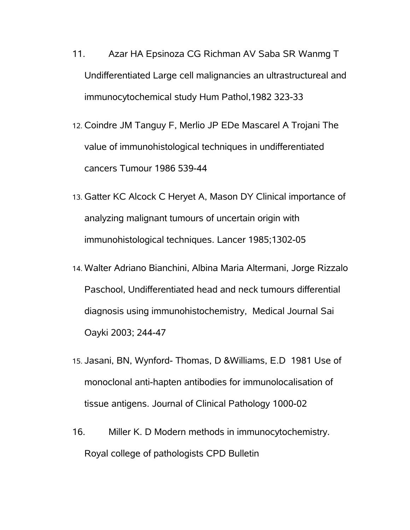- 11. Azar HA Epsinoza CG Richman AV Saba SR Wanmg T Undifferentiated Large cell malignancies an ultrastructureal and immunocytochemical study Hum Pathol,1982 323-33
- 12. Coindre JM Tanguy F, Merlio JP EDe Mascarel A Trojani The value of immunohistological techniques in undifferentiated cancers Tumour 1986 539-44
- 13. Gatter KC Alcock C Heryet A, Mason DY Clinical importance of analyzing malignant tumours of uncertain origin with immunohistological techniques. Lancer 1985;1302-05
- 14. Walter Adriano Bianchini, Albina Maria Altermani, Jorge Rizzalo Paschool, Undifferentiated head and neck tumours differential diagnosis using immunohistochemistry, Medical Journal Sai Oayki 2003; 244-47
- 15. Jasani, BN, Wynford- Thomas, D &Williams, E.D 1981 Use of monoclonal anti-hapten antibodies for immunolocalisation of tissue antigens. Journal of Clinical Pathology 1000-02
- 16. Miller K. D Modern methods in immunocytochemistry. Royal college of pathologists CPD Bulletin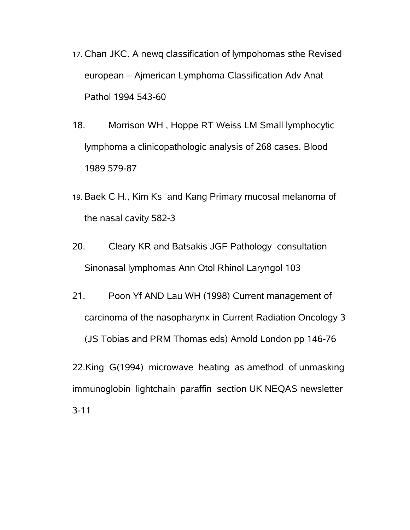- 17. Chan JKC. A newq classification of lympohomas sthe Revised european – Ajmerican Lymphoma Classification Adv Anat Pathol 1994 543-60
- 18. Morrison WH , Hoppe RT Weiss LM Small lymphocytic lymphoma a clinicopathologic analysis of 268 cases. Blood 1989 579-87
- 19. Baek C H., Kim Ks and Kang Primary mucosal melanoma of the nasal cavity 582-3
- 20. Cleary KR and Batsakis JGF Pathology consultation Sinonasal lymphomas Ann Otol Rhinol Laryngol 103
- 21. Poon Yf AND Lau WH (1998) Current management of carcinoma of the nasopharynx in Current Radiation Oncology 3 (JS Tobias and PRM Thomas eds) Arnold London pp 146-76

22.King G(1994) microwave heating as amethod of unmasking immunoglobin lightchain paraffin section UK NEQAS newsletter 3-11